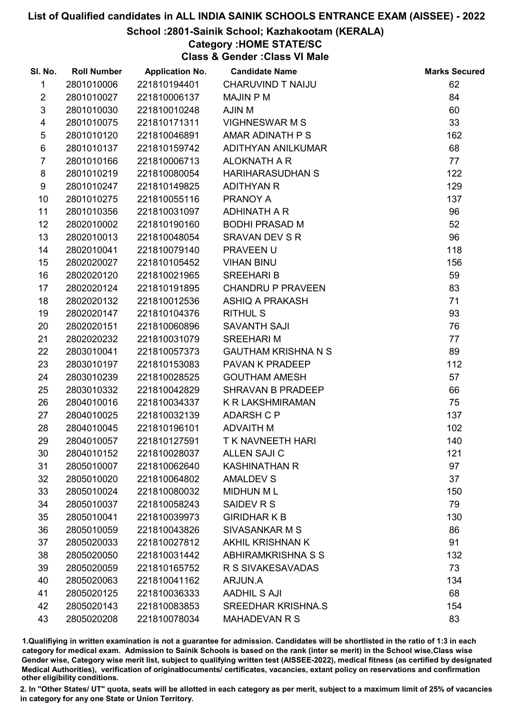#### School :2801-Sainik School; Kazhakootam (KERALA)

### Category :HOME STATE/SC

Class & Gender :Class VI Male

| SI. No.         | <b>Roll Number</b> | <b>Application No.</b> | <b>Candidate Name</b>      | <b>Marks Secured</b> |
|-----------------|--------------------|------------------------|----------------------------|----------------------|
| 1               | 2801010006         | 221810194401           | CHARUVIND T NAIJU          | 62                   |
| $\overline{2}$  | 2801010027         | 221810006137           | <b>MAJIN P M</b>           | 84                   |
| $\mathfrak{S}$  | 2801010030         | 221810010248           | AJIN M                     | 60                   |
| 4               | 2801010075         | 221810171311           | <b>VIGHNESWAR M S</b>      | 33                   |
| $\sqrt{5}$      | 2801010120         | 221810046891           | AMAR ADINATH P S           | 162                  |
| 6               | 2801010137         | 221810159742           | ADITHYAN ANILKUMAR         | 68                   |
| $\overline{7}$  | 2801010166         | 221810006713           | <b>ALOKNATH A R</b>        | 77                   |
| 8               | 2801010219         | 221810080054           | <b>HARIHARASUDHAN S</b>    | 122                  |
| 9               | 2801010247         | 221810149825           | <b>ADITHYAN R</b>          | 129                  |
| 10              | 2801010275         | 221810055116           | PRANOY A                   | 137                  |
| 11              | 2801010356         | 221810031097           | ADHINATH A R               | 96                   |
| 12              | 2802010002         | 221810190160           | <b>BODHI PRASAD M</b>      | 52                   |
| 13              | 2802010013         | 221810048054           | <b>SRAVAN DEV S R</b>      | 96                   |
| 14              | 2802010041         | 221810079140           | PRAVEEN U                  | 118                  |
| 15 <sub>1</sub> | 2802020027         | 221810105452           | <b>VIHAN BINU</b>          | 156                  |
| 16              | 2802020120         | 221810021965           | <b>SREEHARI B</b>          | 59                   |
| 17              | 2802020124         | 221810191895           | <b>CHANDRU P PRAVEEN</b>   | 83                   |
| 18              | 2802020132         | 221810012536           | ASHIQ A PRAKASH            | 71                   |
| 19              | 2802020147         | 221810104376           | <b>RITHUL S</b>            | 93                   |
| 20              | 2802020151         | 221810060896           | SAVANTH SAJI               | 76                   |
| 21              | 2802020232         | 221810031079           | <b>SREEHARI M</b>          | 77                   |
| 22              | 2803010041         | 221810057373           | <b>GAUTHAM KRISHNA N S</b> | 89                   |
| 23              | 2803010197         | 221810153083           | PAVAN K PRADEEP            | 112                  |
| 24              | 2803010239         | 221810028525           | <b>GOUTHAM AMESH</b>       | 57                   |
| 25              | 2803010332         | 221810042829           | SHRAVAN B PRADEEP          | 66                   |
| 26              | 2804010016         | 221810034337           | K R LAKSHMIRAMAN           | 75                   |
| 27              | 2804010025         | 221810032139           | <b>ADARSH C P</b>          | 137                  |
| 28              | 2804010045         | 221810196101           | <b>ADVAITH M</b>           | 102                  |
| 29              | 2804010057         | 221810127591           | <b>T K NAVNEETH HARI</b>   | 140                  |
| 30              | 2804010152         | 221810028037           | <b>ALLEN SAJI C</b>        | 121                  |
| 31              | 2805010007         | 221810062640           | <b>KASHINATHAN R</b>       | 97                   |
| 32              | 2805010020         | 221810064802           | <b>AMALDEV S</b>           | 37                   |
| 33              | 2805010024         | 221810080032           | <b>MIDHUN ML</b>           | 150                  |
| 34              | 2805010037         | 221810058243           | SAIDEV R S                 | 79                   |
| 35              | 2805010041         | 221810039973           | <b>GIRIDHARK B</b>         | 130                  |
| 36              | 2805010059         | 221810043826           | SIVASANKAR M S             | 86                   |
| 37              | 2805020033         | 221810027812           | AKHIL KRISHNAN K           | 91                   |
| 38              | 2805020050         | 221810031442           | ABHIRAMKRISHNA S S         | 132                  |
| 39              | 2805020059         | 221810165752           | R S SIVAKESAVADAS          | 73                   |
| 40              | 2805020063         | 221810041162           | ARJUN.A                    | 134                  |
| 41              | 2805020125         | 221810036333           | <b>AADHIL S AJI</b>        | 68                   |
| 42              | 2805020143         | 221810083853           | <b>SREEDHAR KRISHNA.S</b>  | 154                  |
| 43              | 2805020208         | 221810078034           | <b>MAHADEVAN R S</b>       | 83                   |

1.Qualifiying in written examination is not a guarantee for admission. Candidates will be shortlisted in the ratio of 1:3 in each category for medical exam. Admission to Sainik Schools is based on the rank (inter se merit) in the School wise,Class wise Gender wise, Category wise merit list, subject to qualifying written test (AISSEE-2022), medical fitness (as certified by designated Medical Authorities), verification of originablocuments/ certificates, vacancies, extant policy on reservations and confirmation other eligibility conditions.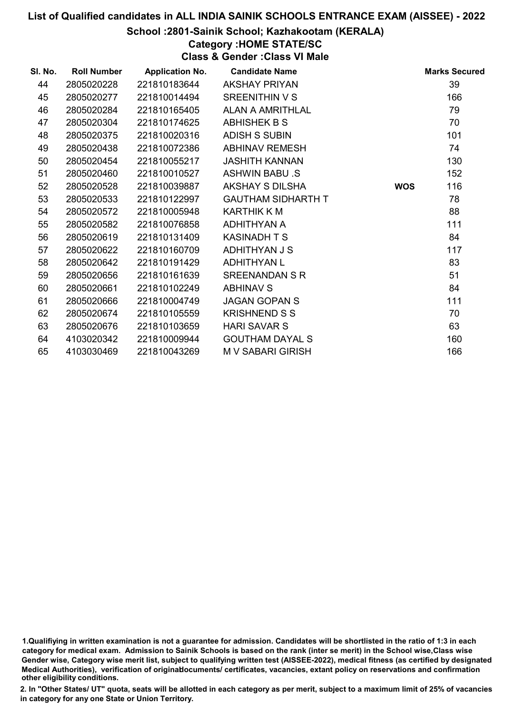#### School :2801-Sainik School; Kazhakootam (KERALA)

## Category :HOME STATE/SC

Class & Gender :Class VI Male

| SI. No. | <b>Roll Number</b> | <b>Application No.</b> | <b>Candidate Name</b>     |            | <b>Marks Secured</b> |
|---------|--------------------|------------------------|---------------------------|------------|----------------------|
| 44      | 2805020228         | 221810183644           | <b>AKSHAY PRIYAN</b>      |            | 39                   |
| 45      | 2805020277         | 221810014494           | SREENITHIN V S            |            | 166                  |
| 46      | 2805020284         | 221810165405           | ALAN A AMRITHLAL          |            | 79                   |
| 47      | 2805020304         | 221810174625           | <b>ABHISHEK B S</b>       |            | 70                   |
| 48      | 2805020375         | 221810020316           | <b>ADISH S SUBIN</b>      |            | 101                  |
| 49      | 2805020438         | 221810072386           | <b>ABHINAV REMESH</b>     |            | 74                   |
| 50      | 2805020454         | 221810055217           | <b>JASHITH KANNAN</b>     |            | 130                  |
| 51      | 2805020460         | 221810010527           | <b>ASHWIN BABU .S</b>     |            | 152                  |
| 52      | 2805020528         | 221810039887           | AKSHAY S DILSHA           | <b>WOS</b> | 116                  |
| 53      | 2805020533         | 221810122997           | <b>GAUTHAM SIDHARTH T</b> |            | 78                   |
| 54      | 2805020572         | 221810005948           | KARTHIK K M               |            | 88                   |
| 55      | 2805020582         | 221810076858           | ADHITHYAN A               |            | 111                  |
| 56      | 2805020619         | 221810131409           | <b>KASINADH T S</b>       |            | 84                   |
| 57      | 2805020622         | 221810160709           | ADHITHYAN J S             |            | 117                  |
| 58      | 2805020642         | 221810191429           | <b>ADHITHYAN L</b>        |            | 83                   |
| 59      | 2805020656         | 221810161639           | <b>SREENANDAN S R</b>     |            | 51                   |
| 60      | 2805020661         | 221810102249           | <b>ABHINAV S</b>          |            | 84                   |
| 61      | 2805020666         | 221810004749           | <b>JAGAN GOPAN S</b>      |            | 111                  |
| 62      | 2805020674         | 221810105559           | <b>KRISHNEND S S</b>      |            | 70                   |
| 63      | 2805020676         | 221810103659           | <b>HARI SAVAR S</b>       |            | 63                   |
| 64      | 4103020342         | 221810009944           | <b>GOUTHAM DAYAL S</b>    |            | 160                  |
| 65      | 4103030469         | 221810043269           | M V SABARI GIRISH         |            | 166                  |

1.Qualifiying in written examination is not a guarantee for admission. Candidates will be shortlisted in the ratio of 1:3 in each category for medical exam. Admission to Sainik Schools is based on the rank (inter se merit) in the School wise,Class wise Gender wise, Category wise merit list, subject to qualifying written test (AISSEE-2022), medical fitness (as certified by designated Medical Authorities), verification of originablocuments/ certificates, vacancies, extant policy on reservations and confirmation other eligibility conditions.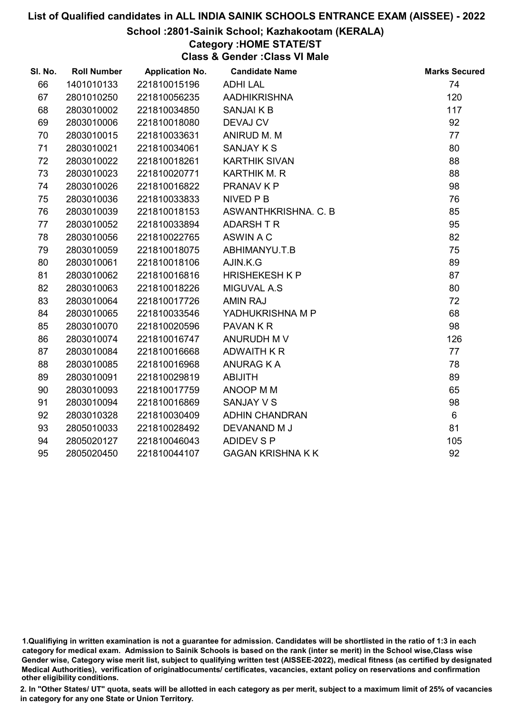#### School :2801-Sainik School; Kazhakootam (KERALA)

## Category :HOME STATE/ST

Class & Gender :Class VI Male

| SI. No. | <b>Roll Number</b> | <b>Application No.</b> | <b>Candidate Name</b>    | <b>Marks Secured</b> |
|---------|--------------------|------------------------|--------------------------|----------------------|
| 66      | 1401010133         | 221810015196           | <b>ADHILAL</b>           | 74                   |
| 67      | 2801010250         | 221810056235           | <b>AADHIKRISHNA</b>      | 120                  |
| 68      | 2803010002         | 221810034850           | <b>SANJAIKB</b>          | 117                  |
| 69      | 2803010006         | 221810018080           | <b>DEVAJ CV</b>          | 92                   |
| 70      | 2803010015         | 221810033631           | ANIRUD M. M              | 77                   |
| 71      | 2803010021         | 221810034061           | <b>SANJAY K S</b>        | 80                   |
| 72      | 2803010022         | 221810018261           | <b>KARTHIK SIVAN</b>     | 88                   |
| 73      | 2803010023         | 221810020771           | KARTHIK M. R             | 88                   |
| 74      | 2803010026         | 221810016822           | PRANAV K P               | 98                   |
| 75      | 2803010036         | 221810033833           | NIVED P B                | 76                   |
| 76      | 2803010039         | 221810018153           | ASWANTHKRISHNA. C. B     | 85                   |
| 77      | 2803010052         | 221810033894           | <b>ADARSHTR</b>          | 95                   |
| 78      | 2803010056         | 221810022765           | ASWIN A C                | 82                   |
| 79      | 2803010059         | 221810018075           | ABHIMANYU.T.B            | 75                   |
| 80      | 2803010061         | 221810018106           | AJIN.K.G                 | 89                   |
| 81      | 2803010062         | 221810016816           | <b>HRISHEKESH K P</b>    | 87                   |
| 82      | 2803010063         | 221810018226           | MIGUVAL A.S              | 80                   |
| 83      | 2803010064         | 221810017726           | <b>AMIN RAJ</b>          | 72                   |
| 84      | 2803010065         | 221810033546           | YADHUKRISHNA M P         | 68                   |
| 85      | 2803010070         | 221810020596           | <b>PAVANKR</b>           | 98                   |
| 86      | 2803010074         | 221810016747           | ANURUDH M V              | 126                  |
| 87      | 2803010084         | 221810016668           | ADWAITH K R              | 77                   |
| 88      | 2803010085         | 221810016968           | <b>ANURAG K A</b>        | 78                   |
| 89      | 2803010091         | 221810029819           | <b>ABIJITH</b>           | 89                   |
| 90      | 2803010093         | 221810017759           | ANOOP M M                | 65                   |
| 91      | 2803010094         | 221810016869           | <b>SANJAY V S</b>        | 98                   |
| 92      | 2803010328         | 221810030409           | <b>ADHIN CHANDRAN</b>    | 6                    |
| 93      | 2805010033         | 221810028492           | DEVANAND M J             | 81                   |
| 94      | 2805020127         | 221810046043           | <b>ADIDEV S P</b>        | 105                  |
| 95      | 2805020450         | 221810044107           | <b>GAGAN KRISHNA K K</b> | 92                   |

<sup>1.</sup>Qualifiying in written examination is not a guarantee for admission. Candidates will be shortlisted in the ratio of 1:3 in each category for medical exam. Admission to Sainik Schools is based on the rank (inter se merit) in the School wise,Class wise Gender wise, Category wise merit list, subject to qualifying written test (AISSEE-2022), medical fitness (as certified by designated Medical Authorities), verification of originablocuments/ certificates, vacancies, extant policy on reservations and confirmation other eligibility conditions.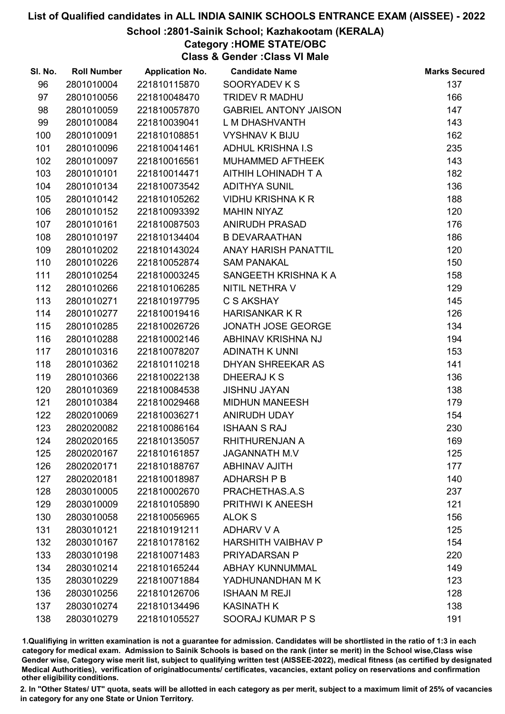#### School :2801-Sainik School; Kazhakootam (KERALA)

## Category :HOME STATE/OBC

Class & Gender :Class VI Male

| SI. No. | <b>Roll Number</b> | <b>Application No.</b> | <b>Candidate Name</b>        | <b>Marks Secured</b> |
|---------|--------------------|------------------------|------------------------------|----------------------|
| 96      | 2801010004         | 221810115870           | SOORYADEV K S                | 137                  |
| 97      | 2801010056         | 221810048470           | TRIDEV R MADHU               | 166                  |
| 98      | 2801010059         | 221810057870           | <b>GABRIEL ANTONY JAISON</b> | 147                  |
| 99      | 2801010084         | 221810039041           | L M DHASHVANTH               | 143                  |
| 100     | 2801010091         | 221810108851           | <b>VYSHNAV K BIJU</b>        | 162                  |
| 101     | 2801010096         | 221810041461           | <b>ADHUL KRISHNA I.S</b>     | 235                  |
| 102     | 2801010097         | 221810016561           | MUHAMMED AFTHEEK             | 143                  |
| 103     | 2801010101         | 221810014471           | AITHIH LOHINADH T A          | 182                  |
| 104     | 2801010134         | 221810073542           | <b>ADITHYA SUNIL</b>         | 136                  |
| 105     | 2801010142         | 221810105262           | <b>VIDHU KRISHNA K R</b>     | 188                  |
| 106     | 2801010152         | 221810093392           | <b>MAHIN NIYAZ</b>           | 120                  |
| 107     | 2801010161         | 221810087503           | <b>ANIRUDH PRASAD</b>        | 176                  |
| 108     | 2801010197         | 221810134404           | <b>B DEVARAATHAN</b>         | 186                  |
| 109     | 2801010202         | 221810143024           | <b>ANAY HARISH PANATTIL</b>  | 120                  |
| 110     | 2801010226         | 221810052874           | <b>SAM PANAKAL</b>           | 150                  |
| 111     | 2801010254         | 221810003245           | SANGEETH KRISHNA K A         | 158                  |
| 112     | 2801010266         | 221810106285           | NITIL NETHRA V               | 129                  |
| 113     | 2801010271         | 221810197795           | C S AKSHAY                   | 145                  |
| 114     | 2801010277         | 221810019416           | <b>HARISANKAR K R</b>        | 126                  |
| 115     | 2801010285         | 221810026726           | JONATH JOSE GEORGE           | 134                  |
| 116     | 2801010288         | 221810002146           | ABHINAV KRISHNA NJ           | 194                  |
| 117     | 2801010316         | 221810078207           | <b>ADINATH K UNNI</b>        | 153                  |
| 118     | 2801010362         | 221810110218           | DHYAN SHREEKAR AS            | 141                  |
| 119     | 2801010366         | 221810022138           | DHEERAJ K S                  | 136                  |
| 120     | 2801010369         | 221810084538           | <b>JISHNU JAYAN</b>          | 138                  |
| 121     | 2801010384         | 221810029468           | <b>MIDHUN MANEESH</b>        | 179                  |
| 122     | 2802010069         | 221810036271           | ANIRUDH UDAY                 | 154                  |
| 123     | 2802020082         | 221810086164           | <b>ISHAAN S RAJ</b>          | 230                  |
| 124     | 2802020165         | 221810135057           | RHITHURENJAN A               | 169                  |
| 125     | 2802020167         | 221810161857           | <b>JAGANNATH M.V</b>         | 125                  |
| 126     | 2802020171         | 221810188767           | <b>ABHINAV AJITH</b>         | 177                  |
| 127     | 2802020181         | 221810018987           | <b>ADHARSH P B</b>           | 140                  |
| 128     | 2803010005         | 221810002670           | PRACHETHAS.A.S               | 237                  |
| 129     | 2803010009         | 221810105890           | PRITHWI K ANEESH             | 121                  |
| 130     | 2803010058         | 221810056965           | <b>ALOK S</b>                | 156                  |
| 131     | 2803010121         | 221810191211           | <b>ADHARV V A</b>            | 125                  |
| 132     | 2803010167         | 221810178162           | <b>HARSHITH VAIBHAV P</b>    | 154                  |
| 133     | 2803010198         | 221810071483           | PRIYADARSAN P                | 220                  |
| 134     | 2803010214         | 221810165244           | <b>ABHAY KUNNUMMAL</b>       | 149                  |
| 135     | 2803010229         | 221810071884           | YADHUNANDHAN M K             | 123                  |
| 136     | 2803010256         | 221810126706           | <b>ISHAAN M REJI</b>         | 128                  |
| 137     | 2803010274         | 221810134496           | <b>KASINATH K</b>            | 138                  |
| 138     | 2803010279         | 221810105527           | SOORAJ KUMAR P S             | 191                  |

1.Qualifiying in written examination is not a guarantee for admission. Candidates will be shortlisted in the ratio of 1:3 in each category for medical exam. Admission to Sainik Schools is based on the rank (inter se merit) in the School wise,Class wise Gender wise, Category wise merit list, subject to qualifying written test (AISSEE-2022), medical fitness (as certified by designated Medical Authorities), verification of originablocuments/ certificates, vacancies, extant policy on reservations and confirmation other eligibility conditions.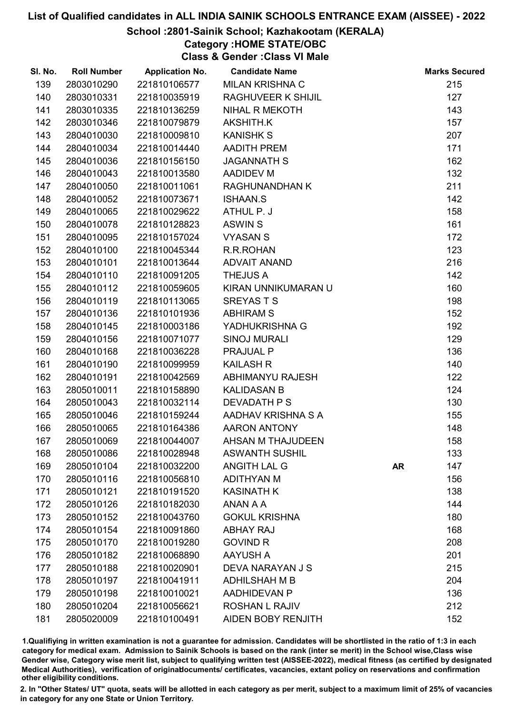#### School :2801-Sainik School; Kazhakootam (KERALA)

## Category :HOME STATE/OBC

Class & Gender :Class VI Male

| SI. No. | <b>Roll Number</b> | <b>Application No.</b> | <b>Candidate Name</b>     |           | <b>Marks Secured</b> |
|---------|--------------------|------------------------|---------------------------|-----------|----------------------|
| 139     | 2803010290         | 221810106577           | <b>MILAN KRISHNA C</b>    |           | 215                  |
| 140     | 2803010331         | 221810035919           | <b>RAGHUVEER K SHIJIL</b> |           | 127                  |
| 141     | 2803010335         | 221810136259           | NIHAL R MEKOTH            |           | 143                  |
| 142     | 2803010346         | 221810079879           | AKSHITH.K                 |           | 157                  |
| 143     | 2804010030         | 221810009810           | <b>KANISHK S</b>          |           | 207                  |
| 144     | 2804010034         | 221810014440           | AADITH PREM               |           | 171                  |
| 145     | 2804010036         | 221810156150           | <b>JAGANNATH S</b>        |           | 162                  |
| 146     | 2804010043         | 221810013580           | <b>AADIDEV M</b>          |           | 132                  |
| 147     | 2804010050         | 221810011061           | <b>RAGHUNANDHAN K</b>     |           | 211                  |
| 148     | 2804010052         | 221810073671           | <b>ISHAAN.S</b>           |           | 142                  |
| 149     | 2804010065         | 221810029622           | ATHUL P. J                |           | 158                  |
| 150     | 2804010078         | 221810128823           | <b>ASWIN S</b>            |           | 161                  |
| 151     | 2804010095         | 221810157024           | <b>VYASAN S</b>           |           | 172                  |
| 152     | 2804010100         | 221810045344           | R.R.ROHAN                 |           | 123                  |
| 153     | 2804010101         | 221810013644           | <b>ADVAIT ANAND</b>       |           | 216                  |
| 154     | 2804010110         | 221810091205           | <b>THEJUS A</b>           |           | 142                  |
| 155     | 2804010112         | 221810059605           | KIRAN UNNIKUMARAN U       |           | 160                  |
| 156     | 2804010119         | 221810113065           | <b>SREYASTS</b>           |           | 198                  |
| 157     | 2804010136         | 221810101936           | <b>ABHIRAM S</b>          |           | 152                  |
| 158     | 2804010145         | 221810003186           | YADHUKRISHNA G            |           | 192                  |
| 159     | 2804010156         | 221810071077           | <b>SINOJ MURALI</b>       |           | 129                  |
| 160     | 2804010168         | 221810036228           | PRAJUAL P                 |           | 136                  |
| 161     | 2804010190         | 221810099959           | <b>KAILASH R</b>          |           | 140                  |
| 162     | 2804010191         | 221810042569           | ABHIMANYU RAJESH          |           | 122                  |
| 163     | 2805010011         | 221810158890           | <b>KALIDASAN B</b>        |           | 124                  |
| 164     | 2805010043         | 221810032114           | <b>DEVADATH P S</b>       |           | 130                  |
| 165     | 2805010046         | 221810159244           | AADHAV KRISHNA S A        |           | 155                  |
| 166     | 2805010065         | 221810164386           | AARON ANTONY              |           | 148                  |
| 167     | 2805010069         | 221810044007           | AHSAN M THAJUDEEN         |           | 158                  |
| 168     | 2805010086         | 221810028948           | <b>ASWANTH SUSHIL</b>     |           | 133                  |
| 169     | 2805010104         | 221810032200           | ANGITH LAL G              | <b>AR</b> | 147                  |
| 170     | 2805010116         | 221810056810           | <b>ADITHYAN M</b>         |           | 156                  |
| 171     | 2805010121         | 221810191520           | <b>KASINATH K</b>         |           | 138                  |
| 172     | 2805010126         | 221810182030           | ANAN A A                  |           | 144                  |
| 173     | 2805010152         | 221810043760           | <b>GOKUL KRISHNA</b>      |           | 180                  |
| 174     | 2805010154         | 221810091860           | <b>ABHAY RAJ</b>          |           | 168                  |
| 175     | 2805010170         | 221810019280           | <b>GOVIND R</b>           |           | 208                  |
| 176     | 2805010182         | 221810068890           | <b>AAYUSH A</b>           |           | 201                  |
| 177     | 2805010188         | 221810020901           | DEVA NARAYAN J S          |           | 215                  |
| 178     | 2805010197         | 221810041911           | <b>ADHILSHAH M B</b>      |           | 204                  |
| 179     | 2805010198         | 221810010021           | <b>AADHIDEVAN P</b>       |           | 136                  |
| 180     | 2805010204         | 221810056621           | <b>ROSHAN L RAJIV</b>     |           | 212                  |
| 181     | 2805020009         | 221810100491           | <b>AIDEN BOBY RENJITH</b> |           | 152                  |

1.Qualifiying in written examination is not a guarantee for admission. Candidates will be shortlisted in the ratio of 1:3 in each category for medical exam. Admission to Sainik Schools is based on the rank (inter se merit) in the School wise,Class wise Gender wise, Category wise merit list, subject to qualifying written test (AISSEE-2022), medical fitness (as certified by designated Medical Authorities), verification of originablocuments/ certificates, vacancies, extant policy on reservations and confirmation other eligibility conditions.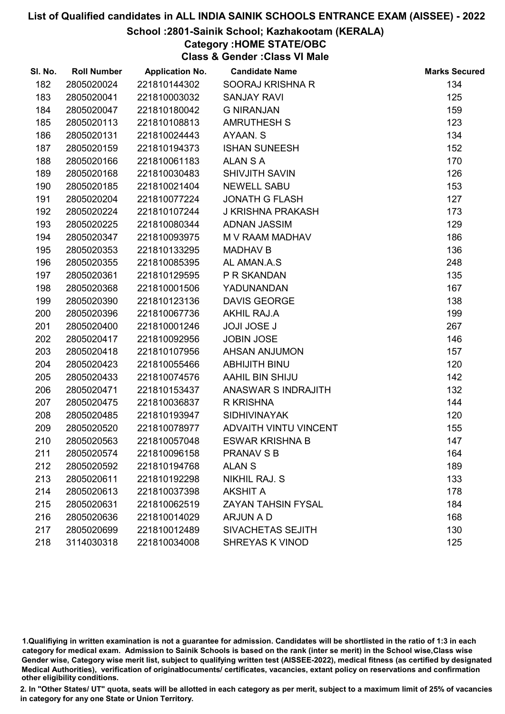#### School :2801-Sainik School; Kazhakootam (KERALA)

### Category :HOME STATE/OBC

Class & Gender :Class VI Male

| SI. No. | <b>Roll Number</b> | <b>Application No.</b> | <b>Candidate Name</b>     | <b>Marks Secured</b> |
|---------|--------------------|------------------------|---------------------------|----------------------|
| 182     | 2805020024         | 221810144302           | SOORAJ KRISHNA R          | 134                  |
| 183     | 2805020041         | 221810003032           | <b>SANJAY RAVI</b>        | 125                  |
| 184     | 2805020047         | 221810180042           | <b>G NIRANJAN</b>         | 159                  |
| 185     | 2805020113         | 221810108813           | <b>AMRUTHESH S</b>        | 123                  |
| 186     | 2805020131         | 221810024443           | AYAAN. S                  | 134                  |
| 187     | 2805020159         | 221810194373           | <b>ISHAN SUNEESH</b>      | 152                  |
| 188     | 2805020166         | 221810061183           | <b>ALAN S A</b>           | 170                  |
| 189     | 2805020168         | 221810030483           | <b>SHIVJITH SAVIN</b>     | 126                  |
| 190     | 2805020185         | 221810021404           | <b>NEWELL SABU</b>        | 153                  |
| 191     | 2805020204         | 221810077224           | <b>JONATH G FLASH</b>     | 127                  |
| 192     | 2805020224         | 221810107244           | <b>J KRISHNA PRAKASH</b>  | 173                  |
| 193     | 2805020225         | 221810080344           | <b>ADNAN JASSIM</b>       | 129                  |
| 194     | 2805020347         | 221810093975           | M V RAAM MADHAV           | 186                  |
| 195     | 2805020353         | 221810133295           | <b>MADHAV B</b>           | 136                  |
| 196     | 2805020355         | 221810085395           | AL AMAN.A.S               | 248                  |
| 197     | 2805020361         | 221810129595           | P R SKANDAN               | 135                  |
| 198     | 2805020368         | 221810001506           | YADUNANDAN                | 167                  |
| 199     | 2805020390         | 221810123136           | <b>DAVIS GEORGE</b>       | 138                  |
| 200     | 2805020396         | 221810067736           | <b>AKHIL RAJ.A</b>        | 199                  |
| 201     | 2805020400         | 221810001246           | <b>JOJI JOSE J</b>        | 267                  |
| 202     | 2805020417         | 221810092956           | <b>JOBIN JOSE</b>         | 146                  |
| 203     | 2805020418         | 221810107956           | <b>AHSAN ANJUMON</b>      | 157                  |
| 204     | 2805020423         | 221810055466           | ABHIJITH BINU             | 120                  |
| 205     | 2805020433         | 221810074576           | AAHIL BIN SHIJU           | 142                  |
| 206     | 2805020471         | 221810153437           | ANASWAR S INDRAJITH       | 132                  |
| 207     | 2805020475         | 221810036837           | R KRISHNA                 | 144                  |
| 208     | 2805020485         | 221810193947           | <b>SIDHIVINAYAK</b>       | 120                  |
| 209     | 2805020520         | 221810078977           | ADVAITH VINTU VINCENT     | 155                  |
| 210     | 2805020563         | 221810057048           | <b>ESWAR KRISHNA B</b>    | 147                  |
| 211     | 2805020574         | 221810096158           | <b>PRANAV S B</b>         | 164                  |
| 212     | 2805020592         | 221810194768           | <b>ALANS</b>              | 189                  |
| 213     | 2805020611         | 221810192298           | NIKHIL RAJ. S             | 133                  |
| 214     | 2805020613         | 221810037398           | <b>AKSHIT A</b>           | 178                  |
| 215     | 2805020631         | 221810062519           | <b>ZAYAN TAHSIN FYSAL</b> | 184                  |
| 216     | 2805020636         | 221810014029           | <b>ARJUN A D</b>          | 168                  |
| 217     | 2805020699         | 221810012489           | SIVACHETAS SEJITH         | 130                  |
| 218     | 3114030318         | 221810034008           | <b>SHREYAS K VINOD</b>    | 125                  |

1.Qualifiying in written examination is not a guarantee for admission. Candidates will be shortlisted in the ratio of 1:3 in each category for medical exam. Admission to Sainik Schools is based on the rank (inter se merit) in the School wise,Class wise Gender wise, Category wise merit list, subject to qualifying written test (AISSEE-2022), medical fitness (as certified by designated Medical Authorities), verification of originablocuments/ certificates, vacancies, extant policy on reservations and confirmation other eligibility conditions.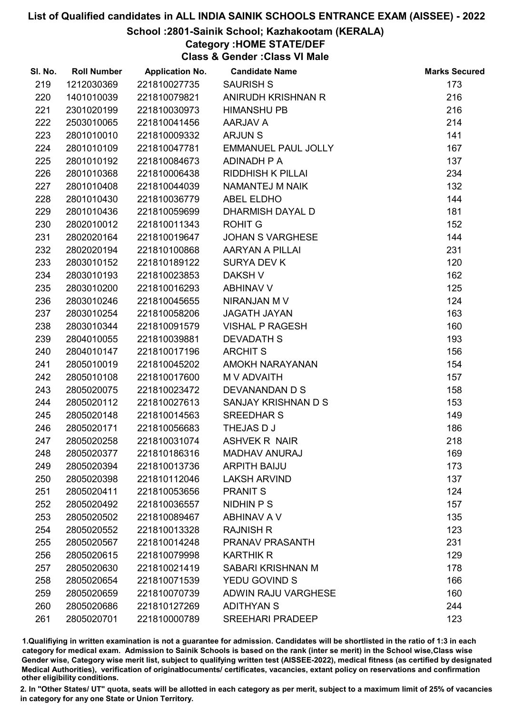#### School :2801-Sainik School; Kazhakootam (KERALA)

#### Category :HOME STATE/DEF

Class & Gender :Class VI Male

| SI. No. | <b>Roll Number</b> | <b>Application No.</b> | <b>Candidate Name</b>      | <b>Marks Secured</b> |
|---------|--------------------|------------------------|----------------------------|----------------------|
| 219     | 1212030369         | 221810027735           | <b>SAURISH S</b>           | 173                  |
| 220     | 1401010039         | 221810079821           | ANIRUDH KRISHNAN R         | 216                  |
| 221     | 2301020199         | 221810030973           | <b>HIMANSHU PB</b>         | 216                  |
| 222     | 2503010065         | 221810041456           | AARJAV A                   | 214                  |
| 223     | 2801010010         | 221810009332           | <b>ARJUNS</b>              | 141                  |
| 224     | 2801010109         | 221810047781           | <b>EMMANUEL PAUL JOLLY</b> | 167                  |
| 225     | 2801010192         | 221810084673           | ADINADH P A                | 137                  |
| 226     | 2801010368         | 221810006438           | <b>RIDDHISH K PILLAI</b>   | 234                  |
| 227     | 2801010408         | 221810044039           | NAMANTEJ M NAIK            | 132                  |
| 228     | 2801010430         | 221810036779           | <b>ABEL ELDHO</b>          | 144                  |
| 229     | 2801010436         | 221810059699           | DHARMISH DAYAL D           | 181                  |
| 230     | 2802010012         | 221810011343           | <b>ROHIT G</b>             | 152                  |
| 231     | 2802020164         | 221810019647           | <b>JOHAN S VARGHESE</b>    | 144                  |
| 232     | 2802020194         | 221810100868           | AARYAN A PILLAI            | 231                  |
| 233     | 2803010152         | 221810189122           | <b>SURYA DEV K</b>         | 120                  |
| 234     | 2803010193         | 221810023853           | <b>DAKSH V</b>             | 162                  |
| 235     | 2803010200         | 221810016293           | <b>ABHINAV V</b>           | 125                  |
| 236     | 2803010246         | 221810045655           | NIRANJAN M V               | 124                  |
| 237     | 2803010254         | 221810058206           | <b>JAGATH JAYAN</b>        | 163                  |
| 238     | 2803010344         | 221810091579           | <b>VISHAL P RAGESH</b>     | 160                  |
| 239     | 2804010055         | 221810039881           | <b>DEVADATH S</b>          | 193                  |
| 240     | 2804010147         | 221810017196           | <b>ARCHIT S</b>            | 156                  |
| 241     | 2805010019         | 221810045202           | AMOKH NARAYANAN            | 154                  |
| 242     | 2805010108         | 221810017600           | M V ADVAITH                | 157                  |
| 243     | 2805020075         | 221810023472           | DEVANANDAN D S             | 158                  |
| 244     | 2805020112         | 221810027613           | SANJAY KRISHNAN D S        | 153                  |
| 245     | 2805020148         | 221810014563           | <b>SREEDHAR S</b>          | 149                  |
| 246     | 2805020171         | 221810056683           | THEJAS D J                 | 186                  |
| 247     | 2805020258         | 221810031074           | <b>ASHVEK R NAIR</b>       | 218                  |
| 248     | 2805020377         | 221810186316           | <b>MADHAV ANURAJ</b>       | 169                  |
| 249     | 2805020394         | 221810013736           | <b>ARPITH BAIJU</b>        | 173                  |
| 250     | 2805020398         | 221810112046           | <b>LAKSH ARVIND</b>        | 137                  |
| 251     | 2805020411         | 221810053656           | <b>PRANIT S</b>            | 124                  |
| 252     | 2805020492         | 221810036557           | NIDHIN P S                 | 157                  |
| 253     | 2805020502         | 221810089467           | ABHINAV A V                | 135                  |
| 254     | 2805020552         | 221810013328           | <b>RAJNISH R</b>           | 123                  |
| 255     | 2805020567         | 221810014248           | <b>PRANAV PRASANTH</b>     | 231                  |
| 256     | 2805020615         | 221810079998           | <b>KARTHIK R</b>           | 129                  |
| 257     | 2805020630         | 221810021419           | SABARI KRISHNAN M          | 178                  |
| 258     | 2805020654         | 221810071539           | YEDU GOVIND S              | 166                  |
| 259     | 2805020659         | 221810070739           | ADWIN RAJU VARGHESE        | 160                  |
| 260     | 2805020686         | 221810127269           | <b>ADITHYAN S</b>          | 244                  |
| 261     | 2805020701         | 221810000789           | <b>SREEHARI PRADEEP</b>    | 123                  |

1.Qualifiying in written examination is not a guarantee for admission. Candidates will be shortlisted in the ratio of 1:3 in each category for medical exam. Admission to Sainik Schools is based on the rank (inter se merit) in the School wise,Class wise Gender wise, Category wise merit list, subject to qualifying written test (AISSEE-2022), medical fitness (as certified by designated Medical Authorities), verification of originablocuments/ certificates, vacancies, extant policy on reservations and confirmation other eligibility conditions.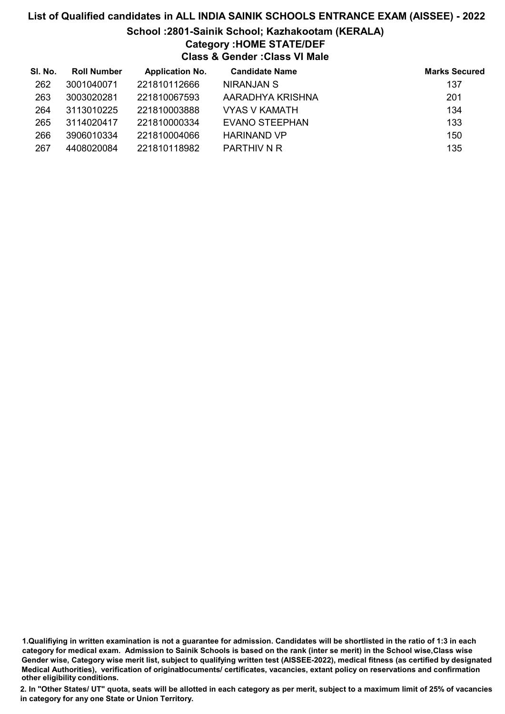# List of Qualified candidates in ALL INDIA SAINIK SCHOOLS ENTRANCE EXAM (AISSEE) - 2022 School :2801-Sainik School; Kazhakootam (KERALA) Category :HOME STATE/DEF Class & Gender :Class VI Male

| SI. No. | <b>Roll Number</b> | <b>Application No.</b> | <b>Candidate Name</b> | <b>Marks Secured</b> |
|---------|--------------------|------------------------|-----------------------|----------------------|
| 262     | 3001040071         | 221810112666           | <b>NIRANJAN S</b>     | 137                  |
| 263     | 3003020281         | 221810067593           | AARADHYA KRISHNA      | 201                  |
| 264     | 3113010225         | 221810003888           | VYAS V KAMATH         | 134                  |
| 265     | 3114020417         | 221810000334           | EVANO STEEPHAN        | 133                  |
| 266     | 3906010334         | 221810004066           | <b>HARINAND VP</b>    | 150                  |
| 267     | 4408020084         | 221810118982           | PARTHIV N R           | 135                  |

<sup>1.</sup>Qualifiying in written examination is not a guarantee for admission. Candidates will be shortlisted in the ratio of 1:3 in each category for medical exam. Admission to Sainik Schools is based on the rank (inter se merit) in the School wise,Class wise Gender wise, Category wise merit list, subject to qualifying written test (AISSEE-2022), medical fitness (as certified by designated Medical Authorities), verification of originablocuments/ certificates, vacancies, extant policy on reservations and confirmation other eligibility conditions.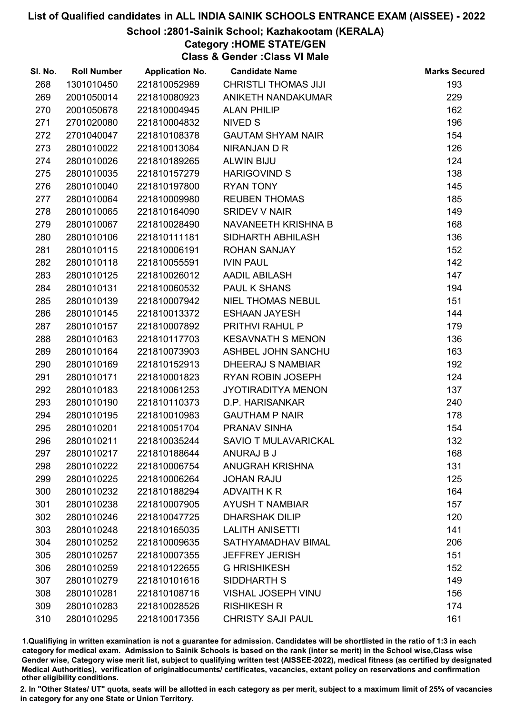#### School :2801-Sainik School; Kazhakootam (KERALA)

# Category :HOME STATE/GEN

Class & Gender :Class VI Male

| SI. No. | <b>Roll Number</b> | <b>Application No.</b> | <b>Candidate Name</b>       | <b>Marks Secured</b> |
|---------|--------------------|------------------------|-----------------------------|----------------------|
| 268     | 1301010450         | 221810052989           | <b>CHRISTLI THOMAS JIJI</b> | 193                  |
| 269     | 2001050014         | 221810080923           | ANIKETH NANDAKUMAR          | 229                  |
| 270     | 2001050678         | 221810004945           | <b>ALAN PHILIP</b>          | 162                  |
| 271     | 2701020080         | 221810004832           | NIVED S                     | 196                  |
| 272     | 2701040047         | 221810108378           | <b>GAUTAM SHYAM NAIR</b>    | 154                  |
| 273     | 2801010022         | 221810013084           | NIRANJAN D R                | 126                  |
| 274     | 2801010026         | 221810189265           | <b>ALWIN BIJU</b>           | 124                  |
| 275     | 2801010035         | 221810157279           | <b>HARIGOVIND S</b>         | 138                  |
| 276     | 2801010040         | 221810197800           | <b>RYAN TONY</b>            | 145                  |
| 277     | 2801010064         | 221810009980           | <b>REUBEN THOMAS</b>        | 185                  |
| 278     | 2801010065         | 221810164090           | <b>SRIDEV V NAIR</b>        | 149                  |
| 279     | 2801010067         | 221810028490           | NAVANEETH KRISHNA B         | 168                  |
| 280     | 2801010106         | 221810111181           | SIDHARTH ABHILASH           | 136                  |
| 281     | 2801010115         | 221810006191           | <b>ROHAN SANJAY</b>         | 152                  |
| 282     | 2801010118         | 221810055591           | <b>IVIN PAUL</b>            | 142                  |
| 283     | 2801010125         | 221810026012           | <b>AADIL ABILASH</b>        | 147                  |
| 284     | 2801010131         | 221810060532           | PAUL K SHANS                | 194                  |
| 285     | 2801010139         | 221810007942           | <b>NIEL THOMAS NEBUL</b>    | 151                  |
| 286     | 2801010145         | 221810013372           | <b>ESHAAN JAYESH</b>        | 144                  |
| 287     | 2801010157         | 221810007892           | PRITHVI RAHUL P             | 179                  |
| 288     | 2801010163         | 221810117703           | <b>KESAVNATH S MENON</b>    | 136                  |
| 289     | 2801010164         | 221810073903           | ASHBEL JOHN SANCHU          | 163                  |
| 290     | 2801010169         | 221810152913           | <b>DHEERAJ S NAMBIAR</b>    | 192                  |
| 291     | 2801010171         | 221810001823           | <b>RYAN ROBIN JOSEPH</b>    | 124                  |
| 292     | 2801010183         | 221810061253           | <b>JYOTIRADITYA MENON</b>   | 137                  |
| 293     | 2801010190         | 221810110373           | D.P. HARISANKAR             | 240                  |
| 294     | 2801010195         | 221810010983           | <b>GAUTHAM P NAIR</b>       | 178                  |
| 295     | 2801010201         | 221810051704           | PRANAV SINHA                | 154                  |
| 296     | 2801010211         | 221810035244           | <b>SAVIO T MULAVARICKAL</b> | 132                  |
| 297     | 2801010217         | 221810188644           | ANURAJ B J                  | 168                  |
| 298     | 2801010222         | 221810006754           | <b>ANUGRAH KRISHNA</b>      | 131                  |
| 299     | 2801010225         | 221810006264           | <b>JOHAN RAJU</b>           | 125                  |
| 300     | 2801010232         | 221810188294           | <b>ADVAITH K R</b>          | 164                  |
| 301     | 2801010238         | 221810007905           | <b>AYUSH T NAMBIAR</b>      | 157                  |
| 302     | 2801010246         | 221810047725           | <b>DHARSHAK DILIP</b>       | 120                  |
| 303     | 2801010248         | 221810165035           | <b>LALITH ANISETTI</b>      | 141                  |
| 304     | 2801010252         | 221810009635           | SATHYAMADHAV BIMAL          | 206                  |
| 305     | 2801010257         | 221810007355           | <b>JEFFREY JERISH</b>       | 151                  |
| 306     | 2801010259         | 221810122655           | <b>G HRISHIKESH</b>         | 152                  |
| 307     | 2801010279         | 221810101616           | <b>SIDDHARTH S</b>          | 149                  |
| 308     | 2801010281         | 221810108716           | <b>VISHAL JOSEPH VINU</b>   | 156                  |
| 309     | 2801010283         | 221810028526           | <b>RISHIKESH R</b>          | 174                  |
| 310     | 2801010295         | 221810017356           | <b>CHRISTY SAJI PAUL</b>    | 161                  |

1.Qualifiying in written examination is not a guarantee for admission. Candidates will be shortlisted in the ratio of 1:3 in each category for medical exam. Admission to Sainik Schools is based on the rank (inter se merit) in the School wise,Class wise Gender wise, Category wise merit list, subject to qualifying written test (AISSEE-2022), medical fitness (as certified by designated Medical Authorities), verification of originablocuments/ certificates, vacancies, extant policy on reservations and confirmation other eligibility conditions.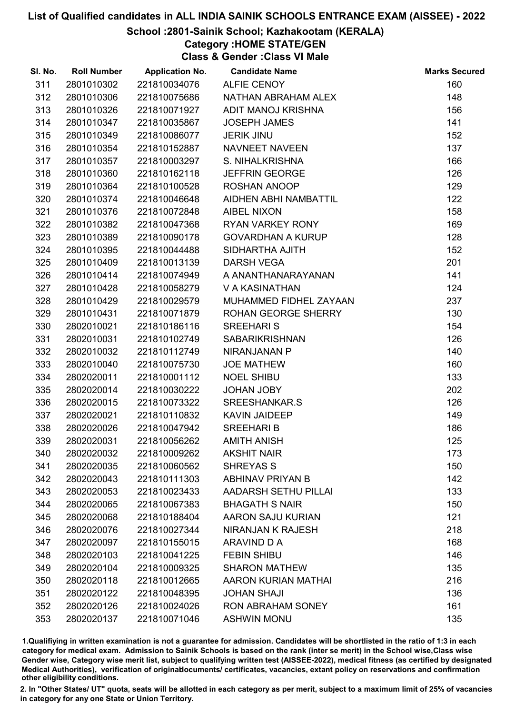#### School :2801-Sainik School; Kazhakootam (KERALA)

Category :HOME STATE/GEN

Class & Gender :Class VI Male

| SI. No. | <b>Roll Number</b> | <b>Application No.</b> | <b>Candidate Name</b>      | <b>Marks Secured</b> |
|---------|--------------------|------------------------|----------------------------|----------------------|
| 311     | 2801010302         | 221810034076           | <b>ALFIE CENOY</b>         | 160                  |
| 312     | 2801010306         | 221810075686           | NATHAN ABRAHAM ALEX        | 148                  |
| 313     | 2801010326         | 221810071927           | ADIT MANOJ KRISHNA         | 156                  |
| 314     | 2801010347         | 221810035867           | <b>JOSEPH JAMES</b>        | 141                  |
| 315     | 2801010349         | 221810086077           | <b>JERIK JINU</b>          | 152                  |
| 316     | 2801010354         | 221810152887           | NAVNEET NAVEEN             | 137                  |
| 317     | 2801010357         | 221810003297           | S. NIHALKRISHNA            | 166                  |
| 318     | 2801010360         | 221810162118           | <b>JEFFRIN GEORGE</b>      | 126                  |
| 319     | 2801010364         | 221810100528           | ROSHAN ANOOP               | 129                  |
| 320     | 2801010374         | 221810046648           | AIDHEN ABHI NAMBATTIL      | 122                  |
| 321     | 2801010376         | 221810072848           | <b>AIBEL NIXON</b>         | 158                  |
| 322     | 2801010382         | 221810047368           | RYAN VARKEY RONY           | 169                  |
| 323     | 2801010389         | 221810090178           | <b>GOVARDHAN A KURUP</b>   | 128                  |
| 324     | 2801010395         | 221810044488           | SIDHARTHA AJITH            | 152                  |
| 325     | 2801010409         | 221810013139           | <b>DARSH VEGA</b>          | 201                  |
| 326     | 2801010414         | 221810074949           | A ANANTHANARAYANAN         | 141                  |
| 327     | 2801010428         | 221810058279           | V A KASINATHAN             | 124                  |
| 328     | 2801010429         | 221810029579           | MUHAMMED FIDHEL ZAYAAN     | 237                  |
| 329     | 2801010431         | 221810071879           | ROHAN GEORGE SHERRY        | 130                  |
| 330     | 2802010021         | 221810186116           | <b>SREEHARI S</b>          | 154                  |
| 331     | 2802010031         | 221810102749           | <b>SABARIKRISHNAN</b>      | 126                  |
| 332     | 2802010032         | 221810112749           | NIRANJANAN P               | 140                  |
| 333     | 2802010040         | 221810075730           | <b>JOE MATHEW</b>          | 160                  |
| 334     | 2802020011         | 221810001112           | <b>NOEL SHIBU</b>          | 133                  |
| 335     | 2802020014         | 221810030222           | <b>JOHAN JOBY</b>          | 202                  |
| 336     | 2802020015         | 221810073322           | SREESHANKAR.S              | 126                  |
| 337     | 2802020021         | 221810110832           | <b>KAVIN JAIDEEP</b>       | 149                  |
| 338     | 2802020026         | 221810047942           | <b>SREEHARI B</b>          | 186                  |
| 339     | 2802020031         | 221810056262           | <b>AMITH ANISH</b>         | 125                  |
| 340     | 2802020032         | 221810009262           | <b>AKSHIT NAIR</b>         | 173                  |
| 341     | 2802020035         | 221810060562           | <b>SHREYAS S</b>           | 150                  |
| 342     | 2802020043         | 221810111303           | <b>ABHINAV PRIYAN B</b>    | 142                  |
| 343     | 2802020053         | 221810023433           | AADARSH SETHU PILLAI       | 133                  |
| 344     | 2802020065         | 221810067383           | <b>BHAGATH S NAIR</b>      | 150                  |
| 345     | 2802020068         | 221810188404           | AARON SAJU KURIAN          | 121                  |
| 346     | 2802020076         | 221810027344           | <b>NIRANJAN K RAJESH</b>   | 218                  |
| 347     | 2802020097         | 221810155015           | ARAVIND D A                | 168                  |
| 348     | 2802020103         | 221810041225           | <b>FEBIN SHIBU</b>         | 146                  |
| 349     | 2802020104         | 221810009325           | <b>SHARON MATHEW</b>       | 135                  |
| 350     | 2802020118         | 221810012665           | <b>AARON KURIAN MATHAI</b> | 216                  |
| 351     | 2802020122         | 221810048395           | <b>JOHAN SHAJI</b>         | 136                  |
| 352     | 2802020126         | 221810024026           | <b>RON ABRAHAM SONEY</b>   | 161                  |
| 353     | 2802020137         | 221810071046           | <b>ASHWIN MONU</b>         | 135                  |

1.Qualifiying in written examination is not a guarantee for admission. Candidates will be shortlisted in the ratio of 1:3 in each category for medical exam. Admission to Sainik Schools is based on the rank (inter se merit) in the School wise,Class wise Gender wise, Category wise merit list, subject to qualifying written test (AISSEE-2022), medical fitness (as certified by designated Medical Authorities), verification of originablocuments/ certificates, vacancies, extant policy on reservations and confirmation other eligibility conditions.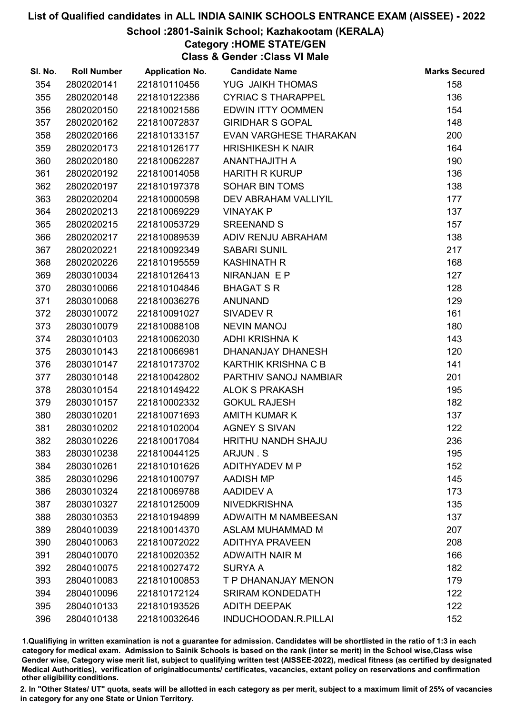#### School :2801-Sainik School; Kazhakootam (KERALA)

# Category :HOME STATE/GEN

Class & Gender :Class VI Male

| SI. No. | <b>Roll Number</b> | <b>Application No.</b> | <b>Candidate Name</b>       | <b>Marks Secured</b> |
|---------|--------------------|------------------------|-----------------------------|----------------------|
| 354     | 2802020141         | 221810110456           | YUG JAIKH THOMAS            | 158                  |
| 355     | 2802020148         | 221810122386           | <b>CYRIAC S THARAPPEL</b>   | 136                  |
| 356     | 2802020150         | 221810021586           | <b>EDWIN ITTY OOMMEN</b>    | 154                  |
| 357     | 2802020162         | 221810072837           | <b>GIRIDHAR S GOPAL</b>     | 148                  |
| 358     | 2802020166         | 221810133157           | EVAN VARGHESE THARAKAN      | 200                  |
| 359     | 2802020173         | 221810126177           | <b>HRISHIKESH K NAIR</b>    | 164                  |
| 360     | 2802020180         | 221810062287           | ANANTHAJITH A               | 190                  |
| 361     | 2802020192         | 221810014058           | <b>HARITH R KURUP</b>       | 136                  |
| 362     | 2802020197         | 221810197378           | <b>SOHAR BIN TOMS</b>       | 138                  |
| 363     | 2802020204         | 221810000598           | <b>DEV ABRAHAM VALLIYIL</b> | 177                  |
| 364     | 2802020213         | 221810069229           | <b>VINAYAK P</b>            | 137                  |
| 365     | 2802020215         | 221810053729           | <b>SREENAND S</b>           | 157                  |
| 366     | 2802020217         | 221810089539           | ADIV RENJU ABRAHAM          | 138                  |
| 367     | 2802020221         | 221810092349           | <b>SABARI SUNIL</b>         | 217                  |
| 368     | 2802020226         | 221810195559           | <b>KASHINATH R</b>          | 168                  |
| 369     | 2803010034         | 221810126413           | NIRANJAN E P                | 127                  |
| 370     | 2803010066         | 221810104846           | <b>BHAGAT S R</b>           | 128                  |
| 371     | 2803010068         | 221810036276           | <b>ANUNAND</b>              | 129                  |
| 372     | 2803010072         | 221810091027           | SIVADEV R                   | 161                  |
| 373     | 2803010079         | 221810088108           | <b>NEVIN MANOJ</b>          | 180                  |
| 374     | 2803010103         | 221810062030           | <b>ADHI KRISHNA K</b>       | 143                  |
| 375     | 2803010143         | 221810066981           | DHANANJAY DHANESH           | 120                  |
| 376     | 2803010147         | 221810173702           | KARTHIK KRISHNA C B         | 141                  |
| 377     | 2803010148         | 221810042802           | PARTHIV SANOJ NAMBIAR       | 201                  |
| 378     | 2803010154         | 221810149422           | <b>ALOK S PRAKASH</b>       | 195                  |
| 379     | 2803010157         | 221810002332           | <b>GOKUL RAJESH</b>         | 182                  |
| 380     | 2803010201         | 221810071693           | <b>AMITH KUMAR K</b>        | 137                  |
| 381     | 2803010202         | 221810102004           | <b>AGNEY S SIVAN</b>        | 122                  |
| 382     | 2803010226         | 221810017084           | HRITHU NANDH SHAJU          | 236                  |
| 383     | 2803010238         | 221810044125           | ARJUN.S                     | 195                  |
| 384     | 2803010261         | 221810101626           | ADITHYADEV M P              | 152                  |
| 385     | 2803010296         | 221810100797           | <b>AADISH MP</b>            | 145                  |
| 386     | 2803010324         | 221810069788           | <b>AADIDEV A</b>            | 173                  |
| 387     | 2803010327         | 221810125009           | <b>NIVEDKRISHNA</b>         | 135                  |
| 388     | 2803010353         | 221810194899           | <b>ADWAITH M NAMBEESAN</b>  | 137                  |
| 389     | 2804010039         | 221810014370           | <b>ASLAM MUHAMMAD M</b>     | 207                  |
| 390     | 2804010063         | 221810072022           | <b>ADITHYA PRAVEEN</b>      | 208                  |
| 391     | 2804010070         | 221810020352           | ADWAITH NAIR M              | 166                  |
| 392     | 2804010075         | 221810027472           | <b>SURYA A</b>              | 182                  |
| 393     | 2804010083         | 221810100853           | T P DHANANJAY MENON         | 179                  |
| 394     | 2804010096         | 221810172124           | <b>SRIRAM KONDEDATH</b>     | 122                  |
| 395     | 2804010133         | 221810193526           | <b>ADITH DEEPAK</b>         | 122                  |
| 396     | 2804010138         | 221810032646           | INDUCHOODAN.R.PILLAI        | 152                  |

1.Qualifiying in written examination is not a guarantee for admission. Candidates will be shortlisted in the ratio of 1:3 in each category for medical exam. Admission to Sainik Schools is based on the rank (inter se merit) in the School wise,Class wise Gender wise, Category wise merit list, subject to qualifying written test (AISSEE-2022), medical fitness (as certified by designated Medical Authorities), verification of originablocuments/ certificates, vacancies, extant policy on reservations and confirmation other eligibility conditions.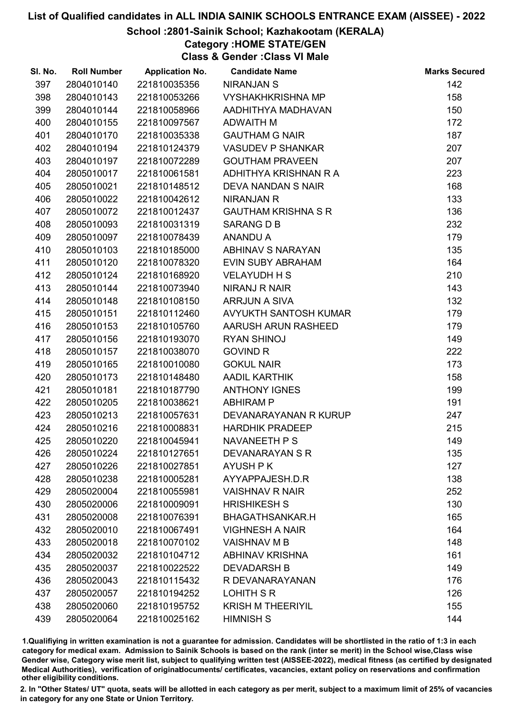#### School :2801-Sainik School; Kazhakootam (KERALA)

Category :HOME STATE/GEN

Class & Gender :Class VI Male

| SI. No. | <b>Roll Number</b> | <b>Application No.</b> | <b>Candidate Name</b>      | <b>Marks Secured</b> |
|---------|--------------------|------------------------|----------------------------|----------------------|
| 397     | 2804010140         | 221810035356           | <b>NIRANJAN S</b>          | 142                  |
| 398     | 2804010143         | 221810053266           | <b>VYSHAKHKRISHNA MP</b>   | 158                  |
| 399     | 2804010144         | 221810058966           | AADHITHYA MADHAVAN         | 150                  |
| 400     | 2804010155         | 221810097567           | <b>ADWAITH M</b>           | 172                  |
| 401     | 2804010170         | 221810035338           | <b>GAUTHAM G NAIR</b>      | 187                  |
| 402     | 2804010194         | 221810124379           | <b>VASUDEV P SHANKAR</b>   | 207                  |
| 403     | 2804010197         | 221810072289           | <b>GOUTHAM PRAVEEN</b>     | 207                  |
| 404     | 2805010017         | 221810061581           | ADHITHYA KRISHNAN R A      | 223                  |
| 405     | 2805010021         | 221810148512           | <b>DEVA NANDAN S NAIR</b>  | 168                  |
| 406     | 2805010022         | 221810042612           | <b>NIRANJAN R</b>          | 133                  |
| 407     | 2805010072         | 221810012437           | <b>GAUTHAM KRISHNA S R</b> | 136                  |
| 408     | 2805010093         | 221810031319           | SARANG D B                 | 232                  |
| 409     | 2805010097         | 221810078439           | <b>ANANDU A</b>            | 179                  |
| 410     | 2805010103         | 221810185000           | ABHINAV S NARAYAN          | 135                  |
| 411     | 2805010120         | 221810078320           | <b>EVIN SUBY ABRAHAM</b>   | 164                  |
| 412     | 2805010124         | 221810168920           | <b>VELAYUDH H S</b>        | 210                  |
| 413     | 2805010144         | 221810073940           | <b>NIRANJ R NAIR</b>       | 143                  |
| 414     | 2805010148         | 221810108150           | <b>ARRJUN A SIVA</b>       | 132                  |
| 415     | 2805010151         | 221810112460           | AVYUKTH SANTOSH KUMAR      | 179                  |
| 416     | 2805010153         | 221810105760           | AARUSH ARUN RASHEED        | 179                  |
| 417     | 2805010156         | 221810193070           | RYAN SHINOJ                | 149                  |
| 418     | 2805010157         | 221810038070           | <b>GOVIND R</b>            | 222                  |
| 419     | 2805010165         | 221810010080           | <b>GOKUL NAIR</b>          | 173                  |
| 420     | 2805010173         | 221810148480           | <b>AADIL KARTHIK</b>       | 158                  |
| 421     | 2805010181         | 221810187790           | <b>ANTHONY IGNES</b>       | 199                  |
| 422     | 2805010205         | 221810038621           | <b>ABHIRAM P</b>           | 191                  |
| 423     | 2805010213         | 221810057631           | DEVANARAYANAN R KURUP      | 247                  |
| 424     | 2805010216         | 221810008831           | <b>HARDHIK PRADEEP</b>     | 215                  |
| 425     | 2805010220         | 221810045941           | NAVANEETH P S              | 149                  |
| 426     | 2805010224         | 221810127651           | DEVANARAYAN S R            | 135                  |
| 427     | 2805010226         | 221810027851           | <b>AYUSH PK</b>            | 127                  |
| 428     | 2805010238         | 221810005281           | AYYAPPAJESH.D.R            | 138                  |
| 429     | 2805020004         | 221810055981           | <b>VAISHNAV R NAIR</b>     | 252                  |
| 430     | 2805020006         | 221810009091           | <b>HRISHIKESH S</b>        | 130                  |
| 431     | 2805020008         | 221810076391           | BHAGATHSANKAR.H            | 165                  |
| 432     | 2805020010         | 221810067491           | <b>VIGHNESH A NAIR</b>     | 164                  |
| 433     | 2805020018         | 221810070102           | <b>VAISHNAV M B</b>        | 148                  |
| 434     | 2805020032         | 221810104712           | <b>ABHINAV KRISHNA</b>     | 161                  |
| 435     | 2805020037         | 221810022522           | <b>DEVADARSH B</b>         | 149                  |
| 436     | 2805020043         | 221810115432           | R DEVANARAYANAN            | 176                  |
| 437     | 2805020057         | 221810194252           | LOHITH S R                 | 126                  |
| 438     | 2805020060         | 221810195752           | <b>KRISH M THEERIYIL</b>   | 155                  |
| 439     | 2805020064         | 221810025162           | <b>HIMNISH S</b>           | 144                  |

1.Qualifiying in written examination is not a guarantee for admission. Candidates will be shortlisted in the ratio of 1:3 in each category for medical exam. Admission to Sainik Schools is based on the rank (inter se merit) in the School wise,Class wise Gender wise, Category wise merit list, subject to qualifying written test (AISSEE-2022), medical fitness (as certified by designated Medical Authorities), verification of originablocuments/ certificates, vacancies, extant policy on reservations and confirmation other eligibility conditions.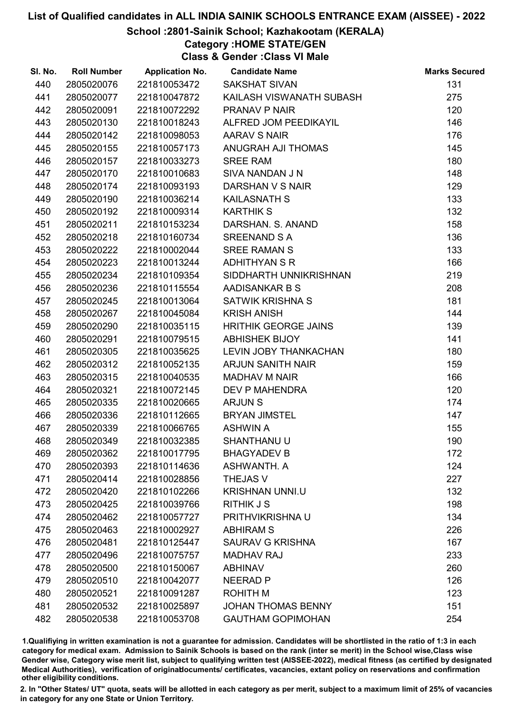#### School :2801-Sainik School; Kazhakootam (KERALA)

# Category :HOME STATE/GEN

Class & Gender :Class VI Male

| SI. No. | <b>Roll Number</b> | <b>Application No.</b> | <b>Candidate Name</b>       | <b>Marks Secured</b> |
|---------|--------------------|------------------------|-----------------------------|----------------------|
| 440     | 2805020076         | 221810053472           | <b>SAKSHAT SIVAN</b>        | 131                  |
| 441     | 2805020077         | 221810047872           | KAILASH VISWANATH SUBASH    | 275                  |
| 442     | 2805020091         | 221810072292           | PRANAV P NAIR               | 120                  |
| 443     | 2805020130         | 221810018243           | ALFRED JOM PEEDIKAYIL       | 146                  |
| 444     | 2805020142         | 221810098053           | AARAV S NAIR                | 176                  |
| 445     | 2805020155         | 221810057173           | ANUGRAH AJI THOMAS          | 145                  |
| 446     | 2805020157         | 221810033273           | <b>SREE RAM</b>             | 180                  |
| 447     | 2805020170         | 221810010683           | SIVA NANDAN J N             | 148                  |
| 448     | 2805020174         | 221810093193           | DARSHAN V S NAIR            | 129                  |
| 449     | 2805020190         | 221810036214           | <b>KAILASNATH S</b>         | 133                  |
| 450     | 2805020192         | 221810009314           | <b>KARTHIK S</b>            | 132                  |
| 451     | 2805020211         | 221810153234           | DARSHAN. S. ANAND           | 158                  |
| 452     | 2805020218         | 221810160734           | <b>SREENAND S A</b>         | 136                  |
| 453     | 2805020222         | 221810002044           | <b>SREE RAMAN S</b>         | 133                  |
| 454     | 2805020223         | 221810013244           | <b>ADHITHYAN S R</b>        | 166                  |
| 455     | 2805020234         | 221810109354           | SIDDHARTH UNNIKRISHNAN      | 219                  |
| 456     | 2805020236         | 221810115554           | AADISANKAR B S              | 208                  |
| 457     | 2805020245         | 221810013064           | SATWIK KRISHNA S            | 181                  |
| 458     | 2805020267         | 221810045084           | <b>KRISH ANISH</b>          | 144                  |
| 459     | 2805020290         | 221810035115           | <b>HRITHIK GEORGE JAINS</b> | 139                  |
| 460     | 2805020291         | 221810079515           | <b>ABHISHEK BIJOY</b>       | 141                  |
| 461     | 2805020305         | 221810035625           | LEVIN JOBY THANKACHAN       | 180                  |
| 462     | 2805020312         | 221810052135           | <b>ARJUN SANITH NAIR</b>    | 159                  |
| 463     | 2805020315         | 221810040535           | <b>MADHAV M NAIR</b>        | 166                  |
| 464     | 2805020321         | 221810072145           | <b>DEV P MAHENDRA</b>       | 120                  |
| 465     | 2805020335         | 221810020665           | <b>ARJUNS</b>               | 174                  |
| 466     | 2805020336         | 221810112665           | <b>BRYAN JIMSTEL</b>        | 147                  |
| 467     | 2805020339         | 221810066765           | <b>ASHWIN A</b>             | 155                  |
| 468     | 2805020349         | 221810032385           | <b>SHANTHANU U</b>          | 190                  |
| 469     | 2805020362         | 221810017795           | <b>BHAGYADEV B</b>          | 172                  |
| 470     | 2805020393         | 221810114636           | ASHWANTH, A                 | 124                  |
| 471     | 2805020414         | 221810028856           | <b>THEJAS V</b>             | 227                  |
| 472     | 2805020420         | 221810102266           | <b>KRISHNAN UNNI.U</b>      | 132                  |
| 473     | 2805020425         | 221810039766           | <b>RITHIK J S</b>           | 198                  |
| 474     | 2805020462         | 221810057727           | PRITHVIKRISHNA U            | 134                  |
| 475     | 2805020463         | 221810002927           | <b>ABHIRAM S</b>            | 226                  |
| 476     | 2805020481         | 221810125447           | <b>SAURAV G KRISHNA</b>     | 167                  |
| 477     | 2805020496         | 221810075757           | <b>MADHAV RAJ</b>           | 233                  |
| 478     | 2805020500         | 221810150067           | <b>ABHINAV</b>              | 260                  |
| 479     | 2805020510         | 221810042077           | <b>NEERAD P</b>             | 126                  |
| 480     | 2805020521         | 221810091287           | <b>ROHITH M</b>             | 123                  |
| 481     | 2805020532         | 221810025897           | <b>JOHAN THOMAS BENNY</b>   | 151                  |
| 482     | 2805020538         | 221810053708           | <b>GAUTHAM GOPIMOHAN</b>    | 254                  |

1.Qualifiying in written examination is not a guarantee for admission. Candidates will be shortlisted in the ratio of 1:3 in each category for medical exam. Admission to Sainik Schools is based on the rank (inter se merit) in the School wise,Class wise Gender wise, Category wise merit list, subject to qualifying written test (AISSEE-2022), medical fitness (as certified by designated Medical Authorities), verification of originablocuments/ certificates, vacancies, extant policy on reservations and confirmation other eligibility conditions.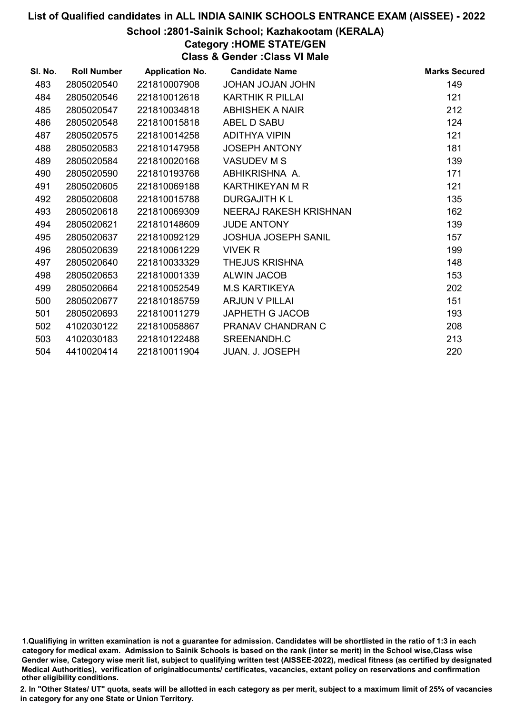#### School :2801-Sainik School; Kazhakootam (KERALA)

# Category :HOME STATE/GEN

Class & Gender :Class VI Male

| SI. No. | <b>Roll Number</b> | <b>Application No.</b> | <b>Candidate Name</b>      | <b>Marks Secured</b> |
|---------|--------------------|------------------------|----------------------------|----------------------|
| 483     | 2805020540         | 221810007908           | <b>UHOL VALOL VAHOL</b>    | 149                  |
| 484     | 2805020546         | 221810012618           | <b>KARTHIK R PILLAI</b>    | 121                  |
| 485     | 2805020547         | 221810034818           | <b>ABHISHEK A NAIR</b>     | 212                  |
| 486     | 2805020548         | 221810015818           | ABEL D SABU                | 124                  |
| 487     | 2805020575         | 221810014258           | <b>ADITHYA VIPIN</b>       | 121                  |
| 488     | 2805020583         | 221810147958           | <b>JOSEPH ANTONY</b>       | 181                  |
| 489     | 2805020584         | 221810020168           | <b>VASUDEV M S</b>         | 139                  |
| 490     | 2805020590         | 221810193768           | ABHIKRISHNA A.             | 171                  |
| 491     | 2805020605         | 221810069188           | <b>KARTHIKEYAN M R</b>     | 121                  |
| 492     | 2805020608         | 221810015788           | <b>DURGAJITH KL</b>        | 135                  |
| 493     | 2805020618         | 221810069309           | NEERAJ RAKESH KRISHNAN     | 162                  |
| 494     | 2805020621         | 221810148609           | <b>JUDE ANTONY</b>         | 139                  |
| 495     | 2805020637         | 221810092129           | <b>JOSHUA JOSEPH SANIL</b> | 157                  |
| 496     | 2805020639         | 221810061229           | VIVEK R                    | 199                  |
| 497     | 2805020640         | 221810033329           | <b>THEJUS KRISHNA</b>      | 148                  |
| 498     | 2805020653         | 221810001339           | <b>ALWIN JACOB</b>         | 153                  |
| 499     | 2805020664         | 221810052549           | <b>M.S KARTIKEYA</b>       | 202                  |
| 500     | 2805020677         | 221810185759           | ARJUN V PILLAI             | 151                  |
| 501     | 2805020693         | 221810011279           | JAPHETH G JACOB            | 193                  |
| 502     | 4102030122         | 221810058867           | PRANAV CHANDRAN C          | 208                  |
| 503     | 4102030183         | 221810122488           | SREENANDH.C                | 213                  |
| 504     | 4410020414         | 221810011904           | <b>JUAN. J. JOSEPH</b>     | 220                  |

<sup>1.</sup>Qualifiying in written examination is not a guarantee for admission. Candidates will be shortlisted in the ratio of 1:3 in each category for medical exam. Admission to Sainik Schools is based on the rank (inter se merit) in the School wise,Class wise Gender wise, Category wise merit list, subject to qualifying written test (AISSEE-2022), medical fitness (as certified by designated Medical Authorities), verification of originablocuments/ certificates, vacancies, extant policy on reservations and confirmation other eligibility conditions.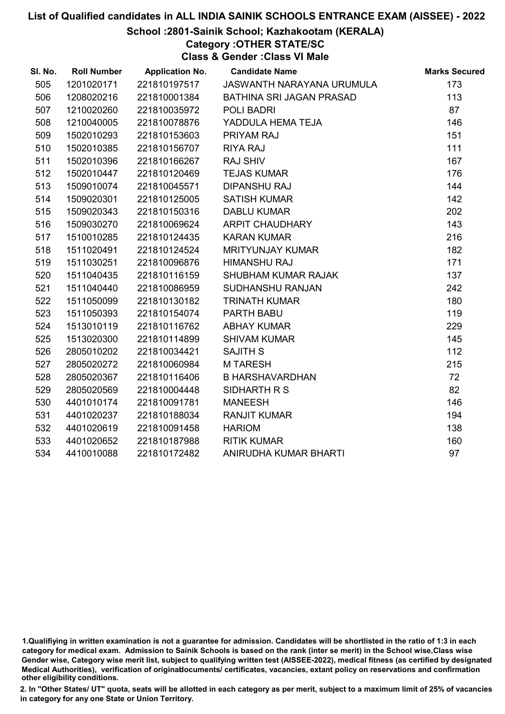#### School :2801-Sainik School; Kazhakootam (KERALA)

Category :OTHER STATE/SC

Class & Gender :Class VI Male

| SI. No. | <b>Roll Number</b> | <b>Application No.</b> | <b>Candidate Name</b>     | <b>Marks Secured</b> |
|---------|--------------------|------------------------|---------------------------|----------------------|
| 505     | 1201020171         | 221810197517           | JASWANTH NARAYANA URUMULA | 173                  |
| 506     | 1208020216         | 221810001384           | BATHINA SRI JAGAN PRASAD  | 113                  |
| 507     | 1210020260         | 221810035972           | POLI BADRI                | 87                   |
| 508     | 1210040005         | 221810078876           | YADDULA HEMA TEJA         | 146                  |
| 509     | 1502010293         | 221810153603           | PRIYAM RAJ                | 151                  |
| 510     | 1502010385         | 221810156707           | <b>RIYA RAJ</b>           | 111                  |
| 511     | 1502010396         | 221810166267           | <b>RAJ SHIV</b>           | 167                  |
| 512     | 1502010447         | 221810120469           | <b>TEJAS KUMAR</b>        | 176                  |
| 513     | 1509010074         | 221810045571           | <b>DIPANSHU RAJ</b>       | 144                  |
| 514     | 1509020301         | 221810125005           | <b>SATISH KUMAR</b>       | 142                  |
| 515     | 1509020343         | 221810150316           | <b>DABLU KUMAR</b>        | 202                  |
| 516     | 1509030270         | 221810069624           | ARPIT CHAUDHARY           | 143                  |
| 517     | 1510010285         | 221810124435           | <b>KARAN KUMAR</b>        | 216                  |
| 518     | 1511020491         | 221810124524           | <b>MRITYUNJAY KUMAR</b>   | 182                  |
| 519     | 1511030251         | 221810096876           | <b>HIMANSHU RAJ</b>       | 171                  |
| 520     | 1511040435         | 221810116159           | SHUBHAM KUMAR RAJAK       | 137                  |
| 521     | 1511040440         | 221810086959           | <b>SUDHANSHU RANJAN</b>   | 242                  |
| 522     | 1511050099         | 221810130182           | <b>TRINATH KUMAR</b>      | 180                  |
| 523     | 1511050393         | 221810154074           | PARTH BABU                | 119                  |
| 524     | 1513010119         | 221810116762           | <b>ABHAY KUMAR</b>        | 229                  |
| 525     | 1513020300         | 221810114899           | <b>SHIVAM KUMAR</b>       | 145                  |
| 526     | 2805010202         | 221810034421           | <b>SAJITH S</b>           | 112                  |
| 527     | 2805020272         | 221810060984           | <b>MTARESH</b>            | 215                  |
| 528     | 2805020367         | 221810116406           | <b>B HARSHAVARDHAN</b>    | 72                   |
| 529     | 2805020569         | 221810004448           | SIDHARTH R S              | 82                   |
| 530     | 4401010174         | 221810091781           | <b>MANEESH</b>            | 146                  |
| 531     | 4401020237         | 221810188034           | <b>RANJIT KUMAR</b>       | 194                  |
| 532     | 4401020619         | 221810091458           | <b>HARIOM</b>             | 138                  |
| 533     | 4401020652         | 221810187988           | <b>RITIK KUMAR</b>        | 160                  |
| 534     | 4410010088         | 221810172482           | ANIRUDHA KUMAR BHARTI     | 97                   |

<sup>1.</sup>Qualifiying in written examination is not a guarantee for admission. Candidates will be shortlisted in the ratio of 1:3 in each category for medical exam. Admission to Sainik Schools is based on the rank (inter se merit) in the School wise,Class wise Gender wise, Category wise merit list, subject to qualifying written test (AISSEE-2022), medical fitness (as certified by designated Medical Authorities), verification of originablocuments/ certificates, vacancies, extant policy on reservations and confirmation other eligibility conditions.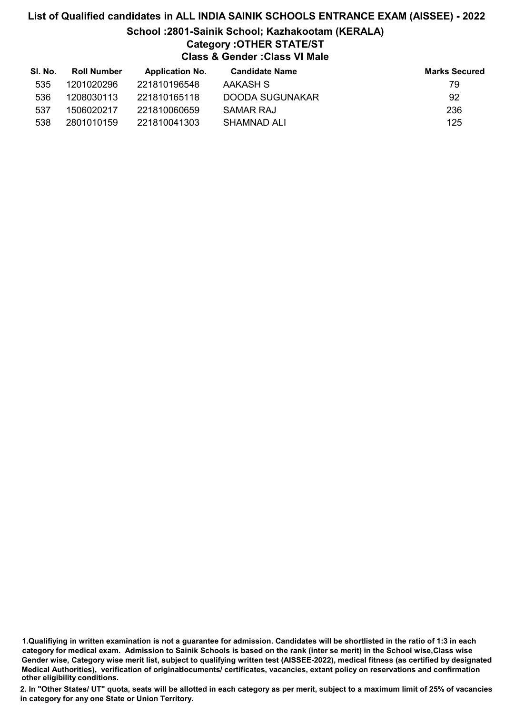# List of Qualified candidates in ALL INDIA SAINIK SCHOOLS ENTRANCE EXAM (AISSEE) - 2022 School :2801-Sainik School; Kazhakootam (KERALA) Category :OTHER STATE/ST Class & Gender :Class VI Male

| SI. No. | <b>Roll Number</b> | <b>Application No.</b> | <b>Candidate Name</b> | <b>Marks Secured</b> |
|---------|--------------------|------------------------|-----------------------|----------------------|
| 535     | 1201020296         | 221810196548           | AAKASH S              | 79                   |
| 536     | 1208030113         | 221810165118           | DOODA SUGUNAKAR       | 92                   |
| 537     | 1506020217         | 221810060659           | SAMAR RAJ             | 236                  |
| 538     | 2801010159         | 221810041303           | SHAMNAD ALI           | 125                  |

1.Qualifiying in written examination is not a guarantee for admission. Candidates will be shortlisted in the ratio of 1:3 in each category for medical exam. Admission to Sainik Schools is based on the rank (inter se merit) in the School wise,Class wise Gender wise, Category wise merit list, subject to qualifying written test (AISSEE-2022), medical fitness (as certified by designated Medical Authorities), verification of originablocuments/ certificates, vacancies, extant policy on reservations and confirmation other eligibility conditions.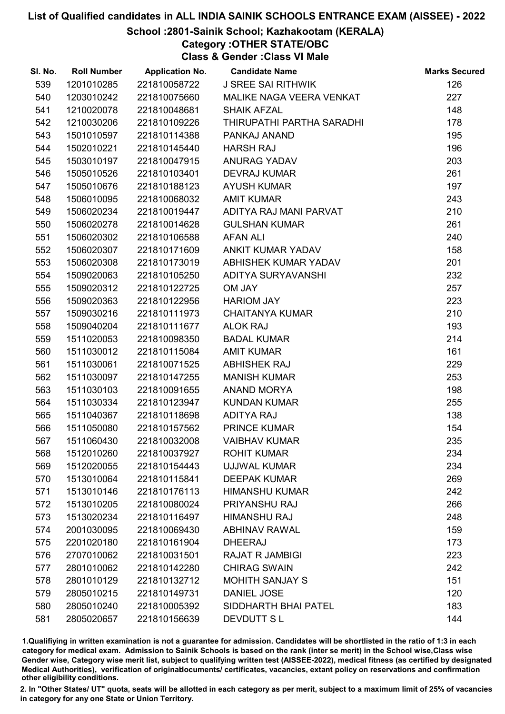#### School :2801-Sainik School; Kazhakootam (KERALA)

## Category :OTHER STATE/OBC

Class & Gender :Class VI Male

| SI. No. | <b>Roll Number</b> | <b>Application No.</b> | <b>Candidate Name</b>     | <b>Marks Secured</b> |
|---------|--------------------|------------------------|---------------------------|----------------------|
| 539     | 1201010285         | 221810058722           | <b>J SREE SAI RITHWIK</b> | 126                  |
| 540     | 1203010242         | 221810075660           | MALIKE NAGA VEERA VENKAT  | 227                  |
| 541     | 1210020078         | 221810048681           | <b>SHAIK AFZAL</b>        | 148                  |
| 542     | 1210030206         | 221810109226           | THIRUPATHI PARTHA SARADHI | 178                  |
| 543     | 1501010597         | 221810114388           | PANKAJ ANAND              | 195                  |
| 544     | 1502010221         | 221810145440           | <b>HARSH RAJ</b>          | 196                  |
| 545     | 1503010197         | 221810047915           | <b>ANURAG YADAV</b>       | 203                  |
| 546     | 1505010526         | 221810103401           | <b>DEVRAJ KUMAR</b>       | 261                  |
| 547     | 1505010676         | 221810188123           | <b>AYUSH KUMAR</b>        | 197                  |
| 548     | 1506010095         | 221810068032           | <b>AMIT KUMAR</b>         | 243                  |
| 549     | 1506020234         | 221810019447           | ADITYA RAJ MANI PARVAT    | 210                  |
| 550     | 1506020278         | 221810014628           | <b>GULSHAN KUMAR</b>      | 261                  |
| 551     | 1506020302         | 221810106588           | <b>AFAN ALI</b>           | 240                  |
| 552     | 1506020307         | 221810171609           | ANKIT KUMAR YADAV         | 158                  |
| 553     | 1506020308         | 221810173019           | ABHISHEK KUMAR YADAV      | 201                  |
| 554     | 1509020063         | 221810105250           | ADITYA SURYAVANSHI        | 232                  |
| 555     | 1509020312         | 221810122725           | OM JAY                    | 257                  |
| 556     | 1509020363         | 221810122956           | <b>HARIOM JAY</b>         | 223                  |
| 557     | 1509030216         | 221810111973           | <b>CHAITANYA KUMAR</b>    | 210                  |
| 558     | 1509040204         | 221810111677           | <b>ALOK RAJ</b>           | 193                  |
| 559     | 1511020053         | 221810098350           | <b>BADAL KUMAR</b>        | 214                  |
| 560     | 1511030012         | 221810115084           | <b>AMIT KUMAR</b>         | 161                  |
| 561     | 1511030061         | 221810071525           | <b>ABHISHEK RAJ</b>       | 229                  |
| 562     | 1511030097         | 221810147255           | <b>MANISH KUMAR</b>       | 253                  |
| 563     | 1511030103         | 221810091655           | ANAND MORYA               | 198                  |
| 564     | 1511030334         | 221810123947           | <b>KUNDAN KUMAR</b>       | 255                  |
| 565     | 1511040367         | 221810118698           | <b>ADITYA RAJ</b>         | 138                  |
| 566     | 1511050080         | 221810157562           | PRINCE KUMAR              | 154                  |
| 567     | 1511060430         | 221810032008           | <b>VAIBHAV KUMAR</b>      | 235                  |
| 568     | 1512010260         | 221810037927           | <b>ROHIT KUMAR</b>        | 234                  |
| 569     | 1512020055         | 221810154443           | UJJWAL KUMAR              | 234                  |
| 570     | 1513010064         | 221810115841           | <b>DEEPAK KUMAR</b>       | 269                  |
| 571     | 1513010146         | 221810176113           | <b>HIMANSHU KUMAR</b>     | 242                  |
| 572     | 1513010205         | 221810080024           | PRIYANSHU RAJ             | 266                  |
| 573     | 1513020234         | 221810116497           | <b>HIMANSHU RAJ</b>       | 248                  |
| 574     | 2001030095         | 221810069430           | <b>ABHINAV RAWAL</b>      | 159                  |
| 575     | 2201020180         | 221810161904           | <b>DHEERAJ</b>            | 173                  |
| 576     | 2707010062         | 221810031501           | <b>RAJAT R JAMBIGI</b>    | 223                  |
| 577     | 2801010062         | 221810142280           | <b>CHIRAG SWAIN</b>       | 242                  |
| 578     | 2801010129         | 221810132712           | <b>MOHITH SANJAY S</b>    | 151                  |
| 579     | 2805010215         | 221810149731           | DANIEL JOSE               | 120                  |
| 580     | 2805010240         | 221810005392           | SIDDHARTH BHAI PATEL      | 183                  |
| 581     | 2805020657         | 221810156639           | DEVDUTT SL                | 144                  |

1.Qualifiying in written examination is not a guarantee for admission. Candidates will be shortlisted in the ratio of 1:3 in each category for medical exam. Admission to Sainik Schools is based on the rank (inter se merit) in the School wise,Class wise Gender wise, Category wise merit list, subject to qualifying written test (AISSEE-2022), medical fitness (as certified by designated Medical Authorities), verification of originablocuments/ certificates, vacancies, extant policy on reservations and confirmation other eligibility conditions.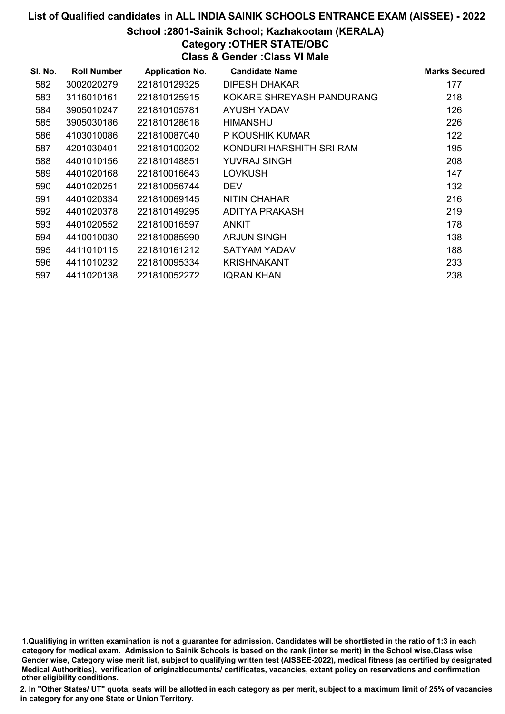#### School :2801-Sainik School; Kazhakootam (KERALA)

### Category :OTHER STATE/OBC

Class & Gender :Class VI Male

| SI. No. | <b>Roll Number</b> | <b>Application No.</b> | <b>Candidate Name</b>     | <b>Marks Secured</b> |
|---------|--------------------|------------------------|---------------------------|----------------------|
| 582     | 3002020279         | 221810129325           | DIPESH DHAKAR             | 177                  |
| 583     | 3116010161         | 221810125915           | KOKARE SHREYASH PANDURANG | 218                  |
| 584     | 3905010247         | 221810105781           | <b>AYUSH YADAV</b>        | 126                  |
| 585     | 3905030186         | 221810128618           | <b>HIMANSHU</b>           | 226                  |
| 586     | 4103010086         | 221810087040           | P KOUSHIK KUMAR           | 122                  |
| 587     | 4201030401         | 221810100202           | KONDURI HARSHITH SRI RAM  | 195                  |
| 588     | 4401010156         | 221810148851           | YUVRAJ SINGH              | 208                  |
| 589     | 4401020168         | 221810016643           | <b>LOVKUSH</b>            | 147                  |
| 590     | 4401020251         | 221810056744           | <b>DEV</b>                | 132                  |
| 591     | 4401020334         | 221810069145           | <b>NITIN CHAHAR</b>       | 216                  |
| 592     | 4401020378         | 221810149295           | ADITYA PRAKASH            | 219                  |
| 593     | 4401020552         | 221810016597           | <b>ANKIT</b>              | 178                  |
| 594     | 4410010030         | 221810085990           | <b>ARJUN SINGH</b>        | 138                  |
| 595     | 4411010115         | 221810161212           | SATYAM YADAV              | 188                  |
| 596     | 4411010232         | 221810095334           | <b>KRISHNAKANT</b>        | 233                  |
| 597     | 4411020138         | 221810052272           | <b>IQRAN KHAN</b>         | 238                  |

1.Qualifiying in written examination is not a guarantee for admission. Candidates will be shortlisted in the ratio of 1:3 in each category for medical exam. Admission to Sainik Schools is based on the rank (inter se merit) in the School wise,Class wise Gender wise, Category wise merit list, subject to qualifying written test (AISSEE-2022), medical fitness (as certified by designated Medical Authorities), verification of originablocuments/ certificates, vacancies, extant policy on reservations and confirmation other eligibility conditions.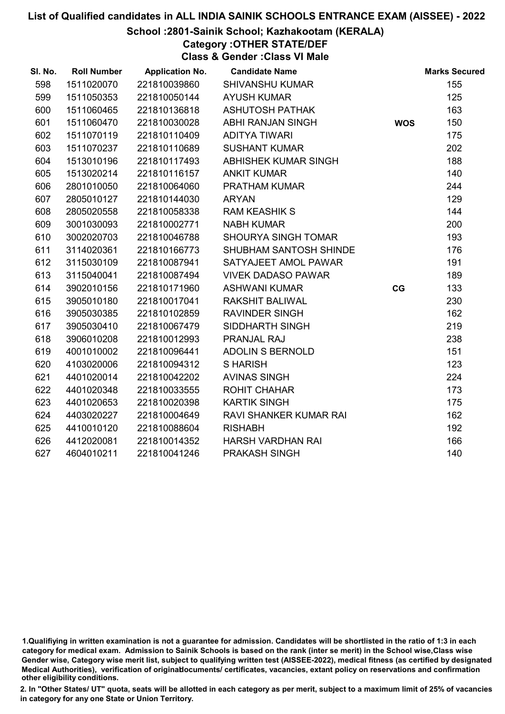#### School :2801-Sainik School; Kazhakootam (KERALA)

Category :OTHER STATE/DEF

Class & Gender :Class VI Male

| SI. No. | <b>Roll Number</b> | <b>Application No.</b> | <b>Candidate Name</b>      |            | <b>Marks Secured</b> |
|---------|--------------------|------------------------|----------------------------|------------|----------------------|
| 598     | 1511020070         | 221810039860           | <b>SHIVANSHU KUMAR</b>     |            | 155                  |
| 599     | 1511050353         | 221810050144           | <b>AYUSH KUMAR</b>         |            | 125                  |
| 600     | 1511060465         | 221810136818           | <b>ASHUTOSH PATHAK</b>     |            | 163                  |
| 601     | 1511060470         | 221810030028           | <b>ABHI RANJAN SINGH</b>   | <b>WOS</b> | 150                  |
| 602     | 1511070119         | 221810110409           | <b>ADITYA TIWARI</b>       |            | 175                  |
| 603     | 1511070237         | 221810110689           | <b>SUSHANT KUMAR</b>       |            | 202                  |
| 604     | 1513010196         | 221810117493           | ABHISHEK KUMAR SINGH       |            | 188                  |
| 605     | 1513020214         | 221810116157           | <b>ANKIT KUMAR</b>         |            | 140                  |
| 606     | 2801010050         | 221810064060           | PRATHAM KUMAR              |            | 244                  |
| 607     | 2805010127         | 221810144030           | <b>ARYAN</b>               |            | 129                  |
| 608     | 2805020558         | 221810058338           | <b>RAM KEASHIK S</b>       |            | 144                  |
| 609     | 3001030093         | 221810002771           | <b>NABH KUMAR</b>          |            | 200                  |
| 610     | 3002020703         | 221810046788           | <b>SHOURYA SINGH TOMAR</b> |            | 193                  |
| 611     | 3114020361         | 221810166773           | SHUBHAM SANTOSH SHINDE     |            | 176                  |
| 612     | 3115030109         | 221810087941           | SATYAJEET AMOL PAWAR       |            | 191                  |
| 613     | 3115040041         | 221810087494           | <b>VIVEK DADASO PAWAR</b>  |            | 189                  |
| 614     | 3902010156         | 221810171960           | <b>ASHWANI KUMAR</b>       | CG         | 133                  |
| 615     | 3905010180         | 221810017041           | <b>RAKSHIT BALIWAL</b>     |            | 230                  |
| 616     | 3905030385         | 221810102859           | <b>RAVINDER SINGH</b>      |            | 162                  |
| 617     | 3905030410         | 221810067479           | SIDDHARTH SINGH            |            | 219                  |
| 618     | 3906010208         | 221810012993           | <b>PRANJAL RAJ</b>         |            | 238                  |
| 619     | 4001010002         | 221810096441           | <b>ADOLIN S BERNOLD</b>    |            | 151                  |
| 620     | 4103020006         | 221810094312           | <b>SHARISH</b>             |            | 123                  |
| 621     | 4401020014         | 221810042202           | <b>AVINAS SINGH</b>        |            | 224                  |
| 622     | 4401020348         | 221810033555           | <b>ROHIT CHAHAR</b>        |            | 173                  |
| 623     | 4401020653         | 221810020398           | <b>KARTIK SINGH</b>        |            | 175                  |
| 624     | 4403020227         | 221810004649           | RAVI SHANKER KUMAR RAI     |            | 162                  |
| 625     | 4410010120         | 221810088604           | <b>RISHABH</b>             |            | 192                  |
| 626     | 4412020081         | 221810014352           | HARSH VARDHAN RAI          |            | 166                  |
| 627     | 4604010211         | 221810041246           | PRAKASH SINGH              |            | 140                  |

<sup>1.</sup>Qualifiying in written examination is not a guarantee for admission. Candidates will be shortlisted in the ratio of 1:3 in each category for medical exam. Admission to Sainik Schools is based on the rank (inter se merit) in the School wise,Class wise Gender wise, Category wise merit list, subject to qualifying written test (AISSEE-2022), medical fitness (as certified by designated Medical Authorities), verification of originablocuments/ certificates, vacancies, extant policy on reservations and confirmation other eligibility conditions.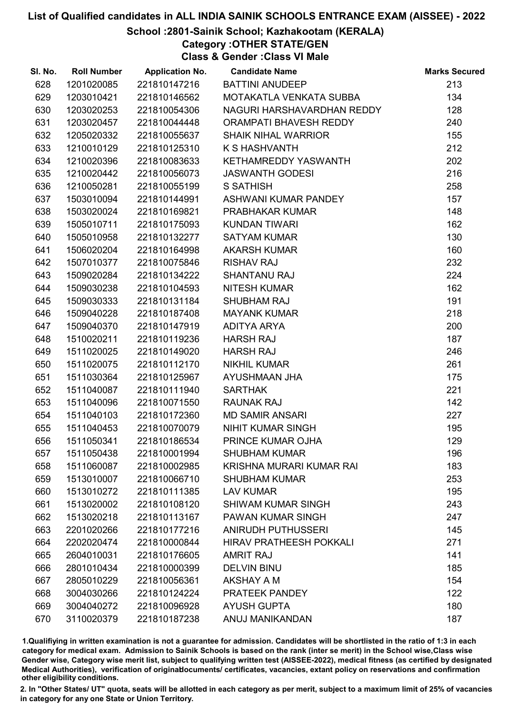#### School :2801-Sainik School; Kazhakootam (KERALA)

Category :OTHER STATE/GEN

Class & Gender :Class VI Male

| SI. No. | <b>Roll Number</b> | <b>Application No.</b> | <b>Candidate Name</b>          | <b>Marks Secured</b> |
|---------|--------------------|------------------------|--------------------------------|----------------------|
| 628     | 1201020085         | 221810147216           | <b>BATTINI ANUDEEP</b>         | 213                  |
| 629     | 1203010421         | 221810146562           | MOTAKATLA VENKATA SUBBA        | 134                  |
| 630     | 1203020253         | 221810054306           | NAGURI HARSHAVARDHAN REDDY     | 128                  |
| 631     | 1203020457         | 221810044448           | ORAMPATI BHAVESH REDDY         | 240                  |
| 632     | 1205020332         | 221810055637           | <b>SHAIK NIHAL WARRIOR</b>     | 155                  |
| 633     | 1210010129         | 221810125310           | <b>K S HASHVANTH</b>           | 212                  |
| 634     | 1210020396         | 221810083633           | KETHAMREDDY YASWANTH           | 202                  |
| 635     | 1210020442         | 221810056073           | <b>JASWANTH GODESI</b>         | 216                  |
| 636     | 1210050281         | 221810055199           | <b>S SATHISH</b>               | 258                  |
| 637     | 1503010094         | 221810144991           | ASHWANI KUMAR PANDEY           | 157                  |
| 638     | 1503020024         | 221810169821           | PRABHAKAR KUMAR                | 148                  |
| 639     | 1505010711         | 221810175093           | <b>KUNDAN TIWARI</b>           | 162                  |
| 640     | 1505010958         | 221810132277           | <b>SATYAM KUMAR</b>            | 130                  |
| 641     | 1506020204         | 221810164998           | <b>AKARSH KUMAR</b>            | 160                  |
| 642     | 1507010377         | 221810075846           | <b>RISHAV RAJ</b>              | 232                  |
| 643     | 1509020284         | 221810134222           | <b>SHANTANU RAJ</b>            | 224                  |
| 644     | 1509030238         | 221810104593           | <b>NITESH KUMAR</b>            | 162                  |
| 645     | 1509030333         | 221810131184           | <b>SHUBHAM RAJ</b>             | 191                  |
| 646     | 1509040228         | 221810187408           | <b>MAYANK KUMAR</b>            | 218                  |
| 647     | 1509040370         | 221810147919           | <b>ADITYA ARYA</b>             | 200                  |
| 648     | 1510020211         | 221810119236           | <b>HARSH RAJ</b>               | 187                  |
| 649     | 1511020025         | 221810149020           | <b>HARSH RAJ</b>               | 246                  |
| 650     | 1511020075         | 221810112170           | <b>NIKHIL KUMAR</b>            | 261                  |
| 651     | 1511030364         | 221810125967           | AYUSHMAAN JHA                  | 175                  |
| 652     | 1511040087         | 221810111940           | <b>SARTHAK</b>                 | 221                  |
| 653     | 1511040096         | 221810071550           | <b>RAUNAK RAJ</b>              | 142                  |
| 654     | 1511040103         | 221810172360           | <b>MD SAMIR ANSARI</b>         | 227                  |
| 655     | 1511040453         | 221810070079           | NIHIT KUMAR SINGH              | 195                  |
| 656     | 1511050341         | 221810186534           | PRINCE KUMAR OJHA              | 129                  |
| 657     | 1511050438         | 221810001994           | <b>SHUBHAM KUMAR</b>           | 196                  |
| 658     | 1511060087         | 221810002985           | KRISHNA MURARI KUMAR RAI       | 183                  |
| 659     | 1513010007         | 221810066710           | <b>SHUBHAM KUMAR</b>           | 253                  |
| 660     | 1513010272         | 221810111385           | <b>LAV KUMAR</b>               | 195                  |
| 661     | 1513020002         | 221810108120           | <b>SHIWAM KUMAR SINGH</b>      | 243                  |
| 662     | 1513020218         | 221810113167           | <b>PAWAN KUMAR SINGH</b>       | 247                  |
| 663     | 2201020266         | 221810177216           | <b>ANIRUDH PUTHUSSERI</b>      | 145                  |
| 664     | 2202020474         | 221810000844           | <b>HIRAV PRATHEESH POKKALI</b> | 271                  |
| 665     | 2604010031         | 221810176605           | <b>AMRIT RAJ</b>               | 141                  |
| 666     | 2801010434         | 221810000399           | <b>DELVIN BINU</b>             | 185                  |
| 667     | 2805010229         | 221810056361           | <b>AKSHAY A M</b>              | 154                  |
| 668     | 3004030266         | 221810124224           | PRATEEK PANDEY                 | 122                  |
| 669     | 3004040272         | 221810096928           | <b>AYUSH GUPTA</b>             | 180                  |
| 670     | 3110020379         | 221810187238           | ANUJ MANIKANDAN                | 187                  |

1.Qualifiying in written examination is not a guarantee for admission. Candidates will be shortlisted in the ratio of 1:3 in each category for medical exam. Admission to Sainik Schools is based on the rank (inter se merit) in the School wise,Class wise Gender wise, Category wise merit list, subject to qualifying written test (AISSEE-2022), medical fitness (as certified by designated Medical Authorities), verification of originablocuments/ certificates, vacancies, extant policy on reservations and confirmation other eligibility conditions.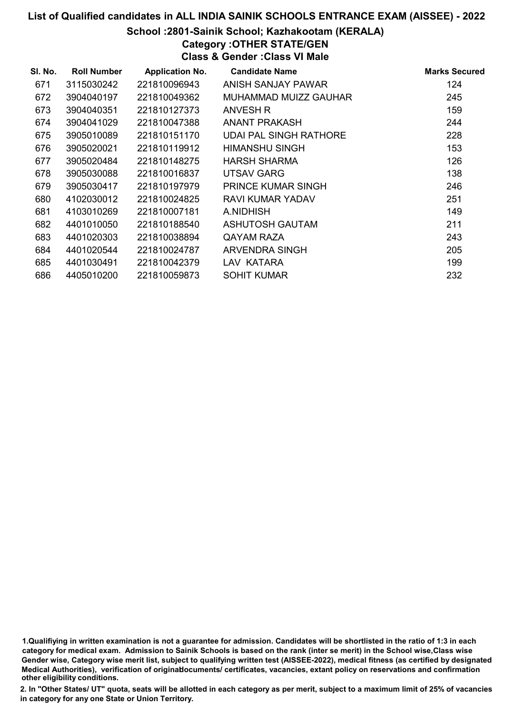#### School :2801-Sainik School; Kazhakootam (KERALA)

## Category :OTHER STATE/GEN

Class & Gender :Class VI Male

| SI. No. | <b>Roll Number</b> | <b>Application No.</b> | <b>Candidate Name</b>         | <b>Marks Secured</b> |
|---------|--------------------|------------------------|-------------------------------|----------------------|
| 671     | 3115030242         | 221810096943           | ANISH SANJAY PAWAR            | 124                  |
| 672     | 3904040197         | 221810049362           | MUHAMMAD MUIZZ GAUHAR         | 245                  |
| 673     | 3904040351         | 221810127373           | ANVESH R                      | 159                  |
| 674     | 3904041029         | 221810047388           | ANANT PRAKASH                 | 244                  |
| 675     | 3905010089         | 221810151170           | <b>UDAI PAL SINGH RATHORE</b> | 228                  |
| 676     | 3905020021         | 221810119912           | HIMANSHU SINGH                | 153                  |
| 677     | 3905020484         | 221810148275           | HARSH SHARMA                  | 126                  |
| 678     | 3905030088         | 221810016837           | UTSAV GARG                    | 138                  |
| 679     | 3905030417         | 221810197979           | <b>PRINCE KUMAR SINGH</b>     | 246                  |
| 680     | 4102030012         | 221810024825           | RAVI KUMAR YADAV              | 251                  |
| 681     | 4103010269         | 221810007181           | A.NIDHISH                     | 149                  |
| 682     | 4401010050         | 221810188540           | <b>ASHUTOSH GAUTAM</b>        | 211                  |
| 683     | 4401020303         | 221810038894           | QAYAM RAZA                    | 243                  |
| 684     | 4401020544         | 221810024787           | <b>ARVENDRA SINGH</b>         | 205                  |
| 685     | 4401030491         | 221810042379           | LAV KATARA                    | 199                  |
| 686     | 4405010200         | 221810059873           | <b>SOHIT KUMAR</b>            | 232                  |

1.Qualifiying in written examination is not a guarantee for admission. Candidates will be shortlisted in the ratio of 1:3 in each category for medical exam. Admission to Sainik Schools is based on the rank (inter se merit) in the School wise,Class wise Gender wise, Category wise merit list, subject to qualifying written test (AISSEE-2022), medical fitness (as certified by designated Medical Authorities), verification of originablocuments/ certificates, vacancies, extant policy on reservations and confirmation other eligibility conditions.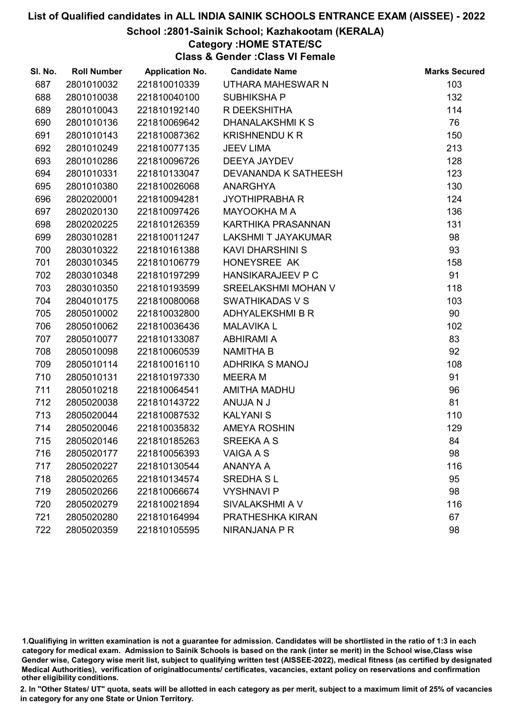#### School :2801-Sainik School; Kazhakootam (KERALA)

#### Category :HOME STATE/SC

Class & Gender :Class VI Female

| SI. No. | <b>Roll Number</b> | <b>Application No.</b> | <b>Candidate Name</b>    | <b>Marks Secured</b> |
|---------|--------------------|------------------------|--------------------------|----------------------|
| 687     | 2801010032         | 221810010339           | UTHARA MAHESWAR N        | 103                  |
| 688     | 2801010038         | 221810040100           | SUBHIKSHA P              | 132                  |
| 689     | 2801010043         | 221810192140           | R DEEKSHITHA             | 114                  |
| 690     | 2801010136         | 221810069642           | DHANALAKSHMIKS           | 76                   |
| 691     | 2801010143         | 221810087362           | <b>KRISHNENDU K R</b>    | 150                  |
| 692     | 2801010249         | 221810077135           | <b>JEEV LIMA</b>         | 213                  |
| 693     | 2801010286         | 221810096726           | <b>DEEYA JAYDEV</b>      | 128                  |
| 694     | 2801010331         | 221810133047           | DEVANANDA K SATHEESH     | 123                  |
| 695     | 2801010380         | 221810026068           | ANARGHYA                 | 130                  |
| 696     | 2802020001         | 221810094281           | <b>JYOTHIPRABHA R</b>    | 124                  |
| 697     | 2802020130         | 221810097426           | <b>MAYOOKHA M A</b>      | 136                  |
| 698     | 2802020225         | 221810126359           | KARTHIKA PRASANNAN       | 131                  |
| 699     | 2803010281         | 221810011247           | LAKSHMI T JAYAKUMAR      | 98                   |
| 700     | 2803010322         | 221810161388           | <b>KAVI DHARSHINI S</b>  | 93                   |
| 701     | 2803010345         | 221810106779           | HONEYSREE AK             | 158                  |
| 702     | 2803010348         | 221810197299           | <b>HANSIKARAJEEV P C</b> | 91                   |
| 703     | 2803010350         | 221810193599           | SREELAKSHMI MOHAN V      | 118                  |
| 704     | 2804010175         | 221810080068           | <b>SWATHIKADAS V S</b>   | 103                  |
| 705     | 2805010002         | 221810032800           | ADHYALEKSHMI B R         | 90                   |
| 706     | 2805010062         | 221810036436           | <b>MALAVIKA L</b>        | 102                  |
| 707     | 2805010077         | 221810133087           | <b>ABHIRAMI A</b>        | 83                   |
| 708     | 2805010098         | 221810060539           | <b>NAMITHA B</b>         | 92                   |
| 709     | 2805010114         | 221810016110           | ADHRIKA S MANOJ          | 108                  |
| 710     | 2805010131         | 221810197330           | <b>MEERA M</b>           | 91                   |
| 711     | 2805010218         | 221810064541           | AMITHA MADHU             | 96                   |
| 712     | 2805020038         | 221810143722           | ANUJA N J                | 81                   |
| 713     | 2805020044         | 221810087532           | <b>KALYANIS</b>          | 110                  |
| 714     | 2805020046         | 221810035832           | <b>AMEYA ROSHIN</b>      | 129                  |
| 715     | 2805020146         | 221810185263           | <b>SREEKA A S</b>        | 84                   |
| 716     | 2805020177         | 221810056393           | <b>VAIGA A S</b>         | 98                   |
| 717     | 2805020227         | 221810130544           | <b>ANANYA A</b>          | 116                  |
| 718     | 2805020265         | 221810134574           | <b>SREDHA SL</b>         | 95                   |
| 719     | 2805020266         | 221810066674           | <b>VYSHNAVI P</b>        | 98                   |
| 720     | 2805020279         | 221810021894           | SIVALAKSHMI A V          | 116                  |
| 721     | 2805020280         | 221810164994           | PRATHESHKA KIRAN         | 67                   |
| 722     | 2805020359         | 221810105595           | NIRANJANA P R            | 98                   |

1.Qualifiying in written examination is not a guarantee for admission. Candidates will be shortlisted in the ratio of 1:3 in each category for medical exam. Admission to Sainik Schools is based on the rank (inter se merit) in the School wise,Class wise Gender wise, Category wise merit list, subject to qualifying written test (AISSEE-2022), medical fitness (as certified by designated Medical Authorities), verification of originablocuments/ certificates, vacancies, extant policy on reservations and confirmation other eligibility conditions.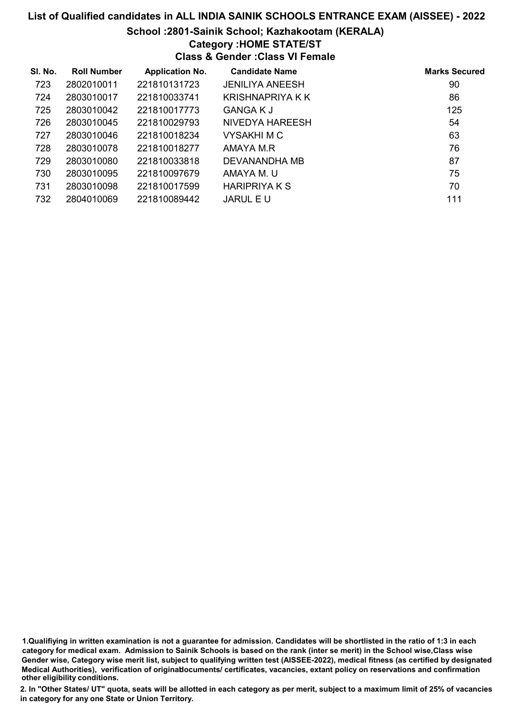#### School :2801-Sainik School; Kazhakootam (KERALA)

#### Category :HOME STATE/ST

Class & Gender :Class VI Female

| SI. No. | <b>Roll Number</b> | <b>Application No.</b> | <b>Candidate Name</b>  | <b>Marks Secured</b> |
|---------|--------------------|------------------------|------------------------|----------------------|
| 723     | 2802010011         | 221810131723           | <b>JENILIYA ANEESH</b> | 90                   |
| 724     | 2803010017         | 221810033741           | KRISHNAPRIYA K K       | 86                   |
| 725     | 2803010042         | 221810017773           | <b>GANGA K J</b>       | 125                  |
| 726     | 2803010045         | 221810029793           | NIVEDYA HAREESH        | 54                   |
| 727     | 2803010046         | 221810018234           | <b>VYSAKHIMC</b>       | 63                   |
| 728     | 2803010078         | 221810018277           | AMAYA M.R              | 76                   |
| 729     | 2803010080         | 221810033818           | DEVANANDHA MB          | 87                   |
| 730     | 2803010095         | 221810097679           | AMAYA M. U             | 75                   |
| 731     | 2803010098         | 221810017599           | <b>HARIPRIYAKS</b>     | 70                   |
| 732     | 2804010069         | 221810089442           | <b>JARUL E U</b>       | 111                  |

1.Qualifiying in written examination is not a guarantee for admission. Candidates will be shortlisted in the ratio of 1:3 in each category for medical exam. Admission to Sainik Schools is based on the rank (inter se merit) in the School wise,Class wise Gender wise, Category wise merit list, subject to qualifying written test (AISSEE-2022), medical fitness (as certified by designated Medical Authorities), verification of originablocuments/ certificates, vacancies, extant policy on reservations and confirmation other eligibility conditions.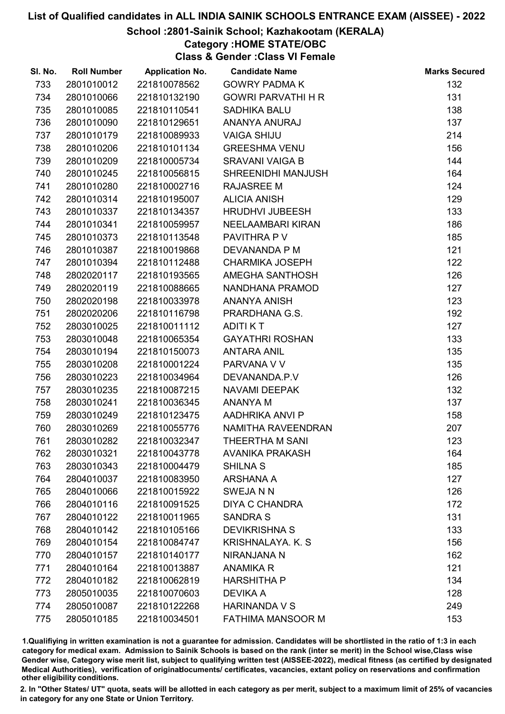#### School :2801-Sainik School; Kazhakootam (KERALA)

### Category :HOME STATE/OBC

Class & Gender :Class VI Female

| SI. No. | <b>Roll Number</b> | <b>Application No.</b> | <b>Candidate Name</b>     | <b>Marks Secured</b> |
|---------|--------------------|------------------------|---------------------------|----------------------|
| 733     | 2801010012         | 221810078562           | <b>GOWRY PADMA K</b>      | 132                  |
| 734     | 2801010066         | 221810132190           | <b>GOWRI PARVATHI H R</b> | 131                  |
| 735     | 2801010085         | 221810110541           | SADHIKA BALU              | 138                  |
| 736     | 2801010090         | 221810129651           | ANANYA ANURAJ             | 137                  |
| 737     | 2801010179         | 221810089933           | <b>VAIGA SHIJU</b>        | 214                  |
| 738     | 2801010206         | 221810101134           | <b>GREESHMA VENU</b>      | 156                  |
| 739     | 2801010209         | 221810005734           | <b>SRAVANI VAIGA B</b>    | 144                  |
| 740     | 2801010245         | 221810056815           | SHREENIDHI MANJUSH        | 164                  |
| 741     | 2801010280         | 221810002716           | <b>RAJASREE M</b>         | 124                  |
| 742     | 2801010314         | 221810195007           | <b>ALICIA ANISH</b>       | 129                  |
| 743     | 2801010337         | 221810134357           | <b>HRUDHVI JUBEESH</b>    | 133                  |
| 744     | 2801010341         | 221810059957           | NEELAAMBARI KIRAN         | 186                  |
| 745     | 2801010373         | 221810113548           | PAVITHRA P V              | 185                  |
| 746     | 2801010387         | 221810019868           | DEVANANDA P M             | 121                  |
| 747     | 2801010394         | 221810112488           | <b>CHARMIKA JOSEPH</b>    | 122                  |
| 748     | 2802020117         | 221810193565           | AMEGHA SANTHOSH           | 126                  |
| 749     | 2802020119         | 221810088665           | NANDHANA PRAMOD           | 127                  |
| 750     | 2802020198         | 221810033978           | <b>ANANYA ANISH</b>       | 123                  |
| 751     | 2802020206         | 221810116798           | PRARDHANA G.S.            | 192                  |
| 752     | 2803010025         | 221810011112           | <b>ADITIKT</b>            | 127                  |
| 753     | 2803010048         | 221810065354           | <b>GAYATHRI ROSHAN</b>    | 133                  |
| 754     | 2803010194         | 221810150073           | <b>ANTARA ANIL</b>        | 135                  |
| 755     | 2803010208         | 221810001224           | PARVANA V V               | 135                  |
| 756     | 2803010223         | 221810034964           | DEVANANDA.P.V             | 126                  |
| 757     | 2803010235         | 221810087215           | NAVAMI DEEPAK             | 132                  |
| 758     | 2803010241         | 221810036345           | <b>ANANYA M</b>           | 137                  |
| 759     | 2803010249         | 221810123475           | AADHRIKA ANVI P           | 158                  |
| 760     | 2803010269         | 221810055776           | NAMITHA RAVEENDRAN        | 207                  |
| 761     | 2803010282         | 221810032347           | THEERTHA M SANI           | 123                  |
| 762     | 2803010321         | 221810043778           | <b>AVANIKA PRAKASH</b>    | 164                  |
| 763     | 2803010343         | 221810004479           | <b>SHILNA S</b>           | 185                  |
| 764     | 2804010037         | 221810083950           | ARSHANA A                 | 127                  |
| 765     | 2804010066         | 221810015922           | <b>SWEJANN</b>            | 126                  |
| 766     | 2804010116         | 221810091525           | <b>DIYA C CHANDRA</b>     | 172                  |
| 767     | 2804010122         | 221810011965           | <b>SANDRA S</b>           | 131                  |
| 768     | 2804010142         | 221810105166           | <b>DEVIKRISHNA S</b>      | 133                  |
| 769     | 2804010154         | 221810084747           | <b>KRISHNALAYA, K. S.</b> | 156                  |
| 770     | 2804010157         | 221810140177           | NIRANJANA N               | 162                  |
| 771     | 2804010164         | 221810013887           | <b>ANAMIKA R</b>          | 121                  |
| 772     | 2804010182         | 221810062819           | <b>HARSHITHA P</b>        | 134                  |
| 773     | 2805010035         | 221810070603           | <b>DEVIKA A</b>           | 128                  |
| 774     | 2805010087         | 221810122268           | <b>HARINANDA V S</b>      | 249                  |
| 775     | 2805010185         | 221810034501           | <b>FATHIMA MANSOOR M</b>  | 153                  |

1.Qualifiying in written examination is not a guarantee for admission. Candidates will be shortlisted in the ratio of 1:3 in each category for medical exam. Admission to Sainik Schools is based on the rank (inter se merit) in the School wise,Class wise Gender wise, Category wise merit list, subject to qualifying written test (AISSEE-2022), medical fitness (as certified by designated Medical Authorities), verification of originablocuments/ certificates, vacancies, extant policy on reservations and confirmation other eligibility conditions.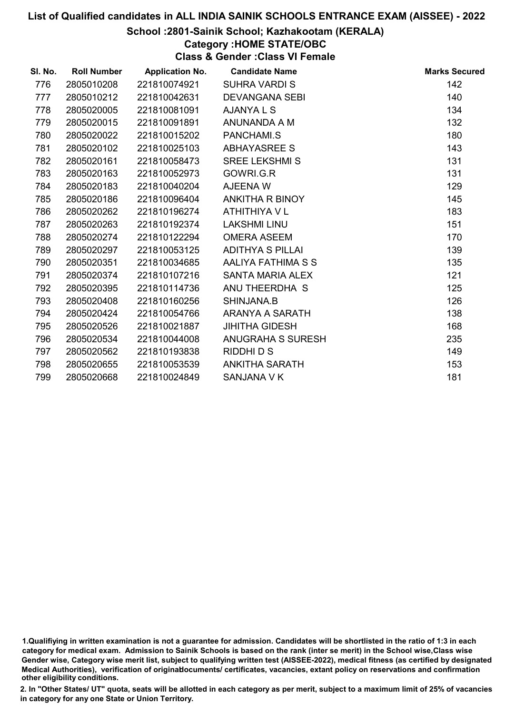#### School :2801-Sainik School; Kazhakootam (KERALA)

### Category :HOME STATE/OBC

Class & Gender :Class VI Female

| SI. No. | <b>Roll Number</b> | <b>Application No.</b> | <b>Candidate Name</b>    | <b>Marks Secured</b> |
|---------|--------------------|------------------------|--------------------------|----------------------|
| 776     | 2805010208         | 221810074921           | <b>SUHRA VARDIS</b>      | 142                  |
| 777     | 2805010212         | 221810042631           | <b>DEVANGANA SEBI</b>    | 140                  |
| 778     | 2805020005         | 221810081091           | <b>AJANYALS</b>          | 134                  |
| 779     | 2805020015         | 221810091891           | ANUNANDA A M             | 132                  |
| 780     | 2805020022         | 221810015202           | PANCHAMI.S               | 180                  |
| 781     | 2805020102         | 221810025103           | ABHAYASREE S             | 143                  |
| 782     | 2805020161         | 221810058473           | <b>SREE LEKSHMI S</b>    | 131                  |
| 783     | 2805020163         | 221810052973           | GOWRI.G.R                | 131                  |
| 784     | 2805020183         | 221810040204           | AJEENA W                 | 129                  |
| 785     | 2805020186         | 221810096404           | ANKITHA R BINOY          | 145                  |
| 786     | 2805020262         | 221810196274           | ATHITHIYA V L            | 183                  |
| 787     | 2805020263         | 221810192374           | <b>LAKSHMI LINU</b>      | 151                  |
| 788     | 2805020274         | 221810122294           | <b>OMERA ASEEM</b>       | 170                  |
| 789     | 2805020297         | 221810053125           | <b>ADITHYA S PILLAI</b>  | 139                  |
| 790     | 2805020351         | 221810034685           | AALIYA FATHIMA S S       | 135                  |
| 791     | 2805020374         | 221810107216           | <b>SANTA MARIA ALEX</b>  | 121                  |
| 792     | 2805020395         | 221810114736           | ANU THEERDHA S           | 125                  |
| 793     | 2805020408         | 221810160256           | SHINJANA.B               | 126                  |
| 794     | 2805020424         | 221810054766           | ARANYA A SARATH          | 138                  |
| 795     | 2805020526         | 221810021887           | <b>JIHITHA GIDESH</b>    | 168                  |
| 796     | 2805020534         | 221810044008           | <b>ANUGRAHA S SURESH</b> | 235                  |
| 797     | 2805020562         | 221810193838           | RIDDHI D S               | 149                  |
| 798     | 2805020655         | 221810053539           | <b>ANKITHA SARATH</b>    | 153                  |
| 799     | 2805020668         | 221810024849           | SANJANA V K              | 181                  |

1.Qualifiying in written examination is not a guarantee for admission. Candidates will be shortlisted in the ratio of 1:3 in each category for medical exam. Admission to Sainik Schools is based on the rank (inter se merit) in the School wise,Class wise Gender wise, Category wise merit list, subject to qualifying written test (AISSEE-2022), medical fitness (as certified by designated Medical Authorities), verification of originablocuments/ certificates, vacancies, extant policy on reservations and confirmation other eligibility conditions.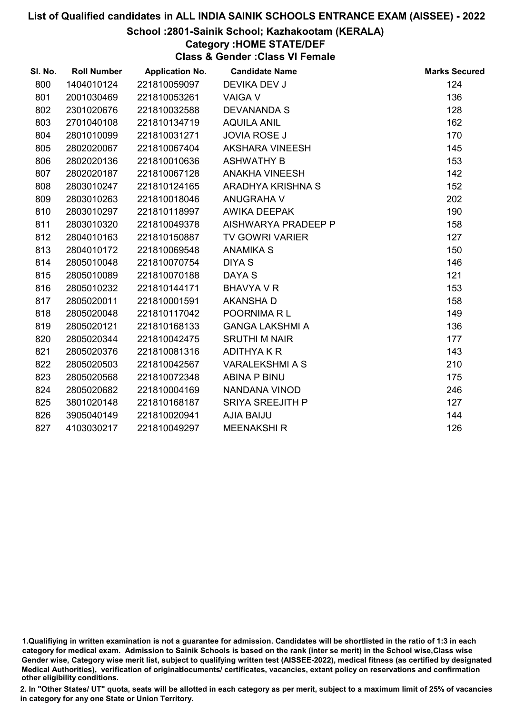#### School :2801-Sainik School; Kazhakootam (KERALA)

# Category :HOME STATE/DEF

Class & Gender :Class VI Female

| SI. No. | <b>Roll Number</b> | <b>Application No.</b> | <b>Candidate Name</b>   | <b>Marks Secured</b> |
|---------|--------------------|------------------------|-------------------------|----------------------|
| 800     | 1404010124         | 221810059097           | DEVIKA DEV J            | 124                  |
| 801     | 2001030469         | 221810053261           | <b>VAIGA V</b>          | 136                  |
| 802     | 2301020676         | 221810032588           | <b>DEVANANDA S</b>      | 128                  |
| 803     | 2701040108         | 221810134719           | <b>AQUILA ANIL</b>      | 162                  |
| 804     | 2801010099         | 221810031271           | <b>JOVIA ROSE J</b>     | 170                  |
| 805     | 2802020067         | 221810067404           | AKSHARA VINEESH         | 145                  |
| 806     | 2802020136         | 221810010636           | <b>ASHWATHY B</b>       | 153                  |
| 807     | 2802020187         | 221810067128           | <b>ANAKHA VINEESH</b>   | 142                  |
| 808     | 2803010247         | 221810124165           | ARADHYA KRISHNA S       | 152                  |
| 809     | 2803010263         | 221810018046           | <b>ANUGRAHA V</b>       | 202                  |
| 810     | 2803010297         | 221810118997           | AWIKA DEEPAK            | 190                  |
| 811     | 2803010320         | 221810049378           | AISHWARYA PRADEEP P     | 158                  |
| 812     | 2804010163         | 221810150887           | <b>TV GOWRI VARIER</b>  | 127                  |
| 813     | 2804010172         | 221810069548           | <b>ANAMIKA S</b>        | 150                  |
| 814     | 2805010048         | 221810070754           | <b>DIYA S</b>           | 146                  |
| 815     | 2805010089         | 221810070188           | DAYA S                  | 121                  |
| 816     | 2805010232         | 221810144171           | <b>BHAVYA V R</b>       | 153                  |
| 817     | 2805020011         | 221810001591           | <b>AKANSHA D</b>        | 158                  |
| 818     | 2805020048         | 221810117042           | POORNIMARL              | 149                  |
| 819     | 2805020121         | 221810168133           | <b>GANGA LAKSHMI A</b>  | 136                  |
| 820     | 2805020344         | 221810042475           | <b>SRUTHI M NAIR</b>    | 177                  |
| 821     | 2805020376         | 221810081316           | ADITHYA K R             | 143                  |
| 822     | 2805020503         | 221810042567           | <b>VARALEKSHMI A S</b>  | 210                  |
| 823     | 2805020568         | 221810072348           | <b>ABINA P BINU</b>     | 175                  |
| 824     | 2805020682         | 221810004169           | NANDANA VINOD           | 246                  |
| 825     | 3801020148         | 221810168187           | <b>SRIYA SREEJITH P</b> | 127                  |
| 826     | 3905040149         | 221810020941           | <b>AJIA BAIJU</b>       | 144                  |
| 827     | 4103030217         | 221810049297           | <b>MEENAKSHIR</b>       | 126                  |

<sup>1.</sup>Qualifiying in written examination is not a guarantee for admission. Candidates will be shortlisted in the ratio of 1:3 in each category for medical exam. Admission to Sainik Schools is based on the rank (inter se merit) in the School wise,Class wise Gender wise, Category wise merit list, subject to qualifying written test (AISSEE-2022), medical fitness (as certified by designated Medical Authorities), verification of originablocuments/ certificates, vacancies, extant policy on reservations and confirmation other eligibility conditions.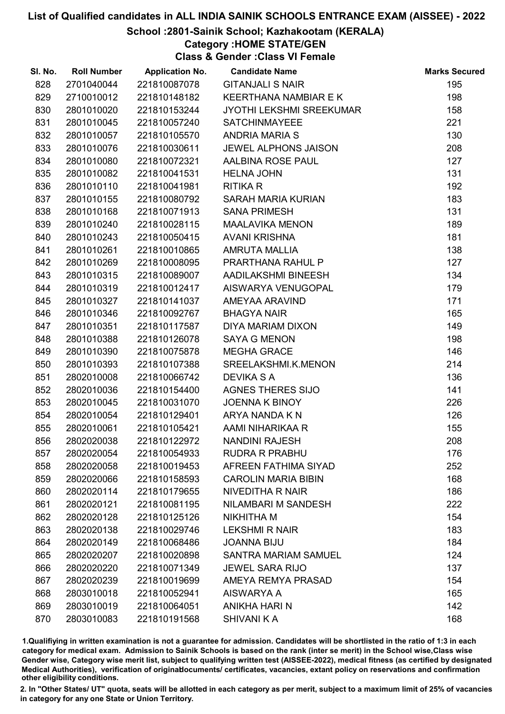#### School :2801-Sainik School; Kazhakootam (KERALA)

## Category :HOME STATE/GEN

Class & Gender :Class VI Female

| SI. No. | <b>Roll Number</b> | <b>Application No.</b> | <b>Candidate Name</b>       | <b>Marks Secured</b> |
|---------|--------------------|------------------------|-----------------------------|----------------------|
| 828     | 2701040044         | 221810087078           | <b>GITANJALI S NAIR</b>     | 195                  |
| 829     | 2710010012         | 221810148182           | KEERTHANA NAMBIAR E K       | 198                  |
| 830     | 2801010020         | 221810153244           | JYOTHI LEKSHMI SREEKUMAR    | 158                  |
| 831     | 2801010045         | 221810057240           | <b>SATCHINMAYEEE</b>        | 221                  |
| 832     | 2801010057         | 221810105570           | <b>ANDRIA MARIA S</b>       | 130                  |
| 833     | 2801010076         | 221810030611           | <b>JEWEL ALPHONS JAISON</b> | 208                  |
| 834     | 2801010080         | 221810072321           | AALBINA ROSE PAUL           | 127                  |
| 835     | 2801010082         | 221810041531           | <b>HELNA JOHN</b>           | 131                  |
| 836     | 2801010110         | 221810041981           | <b>RITIKA R</b>             | 192                  |
| 837     | 2801010155         | 221810080792           | SARAH MARIA KURIAN          | 183                  |
| 838     | 2801010168         | 221810071913           | <b>SANA PRIMESH</b>         | 131                  |
| 839     | 2801010240         | 221810028115           | <b>MAALAVIKA MENON</b>      | 189                  |
| 840     | 2801010243         | 221810050415           | <b>AVANI KRISHNA</b>        | 181                  |
| 841     | 2801010261         | 221810010865           | <b>AMRUTA MALLIA</b>        | 138                  |
| 842     | 2801010269         | 221810008095           | PRARTHANA RAHUL P           | 127                  |
| 843     | 2801010315         | 221810089007           | AADILAKSHMI BINEESH         | 134                  |
| 844     | 2801010319         | 221810012417           | AISWARYA VENUGOPAL          | 179                  |
| 845     | 2801010327         | 221810141037           | AMEYAA ARAVIND              | 171                  |
| 846     | 2801010346         | 221810092767           | <b>BHAGYA NAIR</b>          | 165                  |
| 847     | 2801010351         | 221810117587           | DIYA MARIAM DIXON           | 149                  |
| 848     | 2801010388         | 221810126078           | <b>SAYA G MENON</b>         | 198                  |
| 849     | 2801010390         | 221810075878           | <b>MEGHA GRACE</b>          | 146                  |
| 850     | 2801010393         | 221810107388           | SREELAKSHMI.K.MENON         | 214                  |
| 851     | 2802010008         | 221810066742           | <b>DEVIKA S A</b>           | 136                  |
| 852     | 2802010036         | 221810154400           | <b>AGNES THERES SIJO</b>    | 141                  |
| 853     | 2802010045         | 221810031070           | JOENNA K BINOY              | 226                  |
| 854     | 2802010054         | 221810129401           | ARYA NANDA K N              | 126                  |
| 855     | 2802010061         | 221810105421           | AAMI NIHARIKAA R            | 155                  |
| 856     | 2802020038         | 221810122972           | <b>NANDINI RAJESH</b>       | 208                  |
| 857     | 2802020054         | 221810054933           | <b>RUDRA R PRABHU</b>       | 176                  |
| 858     | 2802020058         | 221810019453           | AFREEN FATHIMA SIYAD        | 252                  |
| 859     | 2802020066         | 221810158593           | <b>CAROLIN MARIA BIBIN</b>  | 168                  |
| 860     | 2802020114         | 221810179655           | <b>NIVEDITHA R NAIR</b>     | 186                  |
| 861     | 2802020121         | 221810081195           | NILAMBARI M SANDESH         | 222                  |
| 862     | 2802020128         | 221810125126           | NIKHITHA M                  | 154                  |
| 863     | 2802020138         | 221810029746           | <b>LEKSHMI R NAIR</b>       | 183                  |
| 864     | 2802020149         | 221810068486           | <b>JOANNA BIJU</b>          | 184                  |
| 865     | 2802020207         | 221810020898           | <b>SANTRA MARIAM SAMUEL</b> | 124                  |
| 866     | 2802020220         | 221810071349           | <b>JEWEL SARA RIJO</b>      | 137                  |
| 867     | 2802020239         | 221810019699           | AMEYA REMYA PRASAD          | 154                  |
| 868     | 2803010018         | 221810052941           | AISWARYA A                  | 165                  |
| 869     | 2803010019         | 221810064051           | <b>ANIKHA HARI N</b>        | 142                  |
| 870     | 2803010083         | 221810191568           | <b>SHIVANI K A</b>          | 168                  |

1.Qualifiying in written examination is not a guarantee for admission. Candidates will be shortlisted in the ratio of 1:3 in each category for medical exam. Admission to Sainik Schools is based on the rank (inter se merit) in the School wise,Class wise Gender wise, Category wise merit list, subject to qualifying written test (AISSEE-2022), medical fitness (as certified by designated Medical Authorities), verification of originablocuments/ certificates, vacancies, extant policy on reservations and confirmation other eligibility conditions.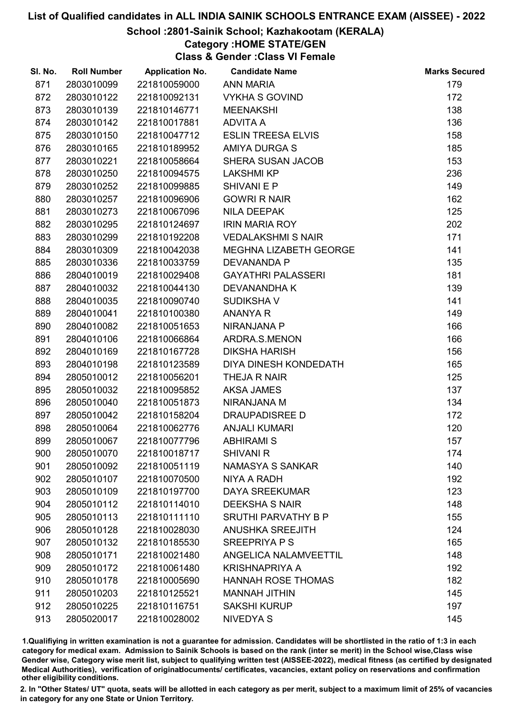### School :2801-Sainik School; Kazhakootam (KERALA)

# Category :HOME STATE/GEN

Class & Gender :Class VI Female

| SI. No. | <b>Roll Number</b> | <b>Application No.</b> | <b>Candidate Name</b>        | <b>Marks Secured</b> |
|---------|--------------------|------------------------|------------------------------|----------------------|
| 871     | 2803010099         | 221810059000           | <b>ANN MARIA</b>             | 179                  |
| 872     | 2803010122         | 221810092131           | <b>VYKHA S GOVIND</b>        | 172                  |
| 873     | 2803010139         | 221810146771           | <b>MEENAKSHI</b>             | 138                  |
| 874     | 2803010142         | 221810017881           | <b>ADVITA A</b>              | 136                  |
| 875     | 2803010150         | 221810047712           | <b>ESLIN TREESA ELVIS</b>    | 158                  |
| 876     | 2803010165         | 221810189952           | <b>AMIYA DURGA S</b>         | 185                  |
| 877     | 2803010221         | 221810058664           | SHERA SUSAN JACOB            | 153                  |
| 878     | 2803010250         | 221810094575           | <b>LAKSHMI KP</b>            | 236                  |
| 879     | 2803010252         | 221810099885           | <b>SHIVANI E P</b>           | 149                  |
| 880     | 2803010257         | 221810096906           | <b>GOWRI R NAIR</b>          | 162                  |
| 881     | 2803010273         | 221810067096           | <b>NILA DEEPAK</b>           | 125                  |
| 882     | 2803010295         | 221810124697           | <b>IRIN MARIA ROY</b>        | 202                  |
| 883     | 2803010299         | 221810192208           | <b>VEDALAKSHMI S NAIR</b>    | 171                  |
| 884     | 2803010309         | 221810042038           | MEGHNA LIZABETH GEORGE       | 141                  |
| 885     | 2803010336         | 221810033759           | <b>DEVANANDA P</b>           | 135                  |
| 886     | 2804010019         | 221810029408           | <b>GAYATHRI PALASSERI</b>    | 181                  |
| 887     | 2804010032         | 221810044130           | DEVANANDHA K                 | 139                  |
| 888     | 2804010035         | 221810090740           | <b>SUDIKSHAV</b>             | 141                  |
| 889     | 2804010041         | 221810100380           | <b>ANANYA R</b>              | 149                  |
| 890     | 2804010082         | 221810051653           | NIRANJANA P                  | 166                  |
| 891     | 2804010106         | 221810066864           | ARDRA.S.MENON                | 166                  |
| 892     | 2804010169         | 221810167728           | <b>DIKSHA HARISH</b>         | 156                  |
| 893     | 2804010198         | 221810123589           | DIYA DINESH KONDEDATH        | 165                  |
| 894     | 2805010012         | 221810056201           | THEJA R NAIR                 | 125                  |
| 895     | 2805010032         | 221810095852           | <b>AKSA JAMES</b>            | 137                  |
| 896     | 2805010040         | 221810051873           | NIRANJANA M                  | 134                  |
| 897     | 2805010042         | 221810158204           | <b>DRAUPADISREE D</b>        | 172                  |
| 898     | 2805010064         | 221810062776           | <b>ANJALI KUMARI</b>         | 120                  |
| 899     | 2805010067         | 221810077796           | <b>ABHIRAMI S</b>            | 157                  |
| 900     | 2805010070         | 221810018717           | <b>SHIVANI R</b>             | 174                  |
| 901     | 2805010092         | 221810051119           | NAMASYA S SANKAR             | 140                  |
| 902     | 2805010107         | 221810070500           | NIYA A RADH                  | 192                  |
| 903     | 2805010109         | 221810197700           | <b>DAYA SREEKUMAR</b>        | 123                  |
| 904     | 2805010112         | 221810114010           | <b>DEEKSHA S NAIR</b>        | 148                  |
| 905     | 2805010113         | 221810111110           | <b>SRUTHI PARVATHY B P</b>   | 155                  |
| 906     | 2805010128         | 221810028030           | <b>ANUSHKA SREEJITH</b>      | 124                  |
| 907     | 2805010132         | 221810185530           | SREEPRIYA P S                | 165                  |
| 908     | 2805010171         | 221810021480           | <b>ANGELICA NALAMVEETTIL</b> | 148                  |
| 909     | 2805010172         | 221810061480           | <b>KRISHNAPRIYA A</b>        | 192                  |
| 910     | 2805010178         | 221810005690           | <b>HANNAH ROSE THOMAS</b>    | 182                  |
| 911     | 2805010203         | 221810125521           | <b>MANNAH JITHIN</b>         | 145                  |
| 912     | 2805010225         | 221810116751           | <b>SAKSHI KURUP</b>          | 197                  |
| 913     | 2805020017         | 221810028002           | NIVEDYA S                    | 145                  |

1.Qualifiying in written examination is not a guarantee for admission. Candidates will be shortlisted in the ratio of 1:3 in each category for medical exam. Admission to Sainik Schools is based on the rank (inter se merit) in the School wise,Class wise Gender wise, Category wise merit list, subject to qualifying written test (AISSEE-2022), medical fitness (as certified by designated Medical Authorities), verification of originablocuments/ certificates, vacancies, extant policy on reservations and confirmation other eligibility conditions.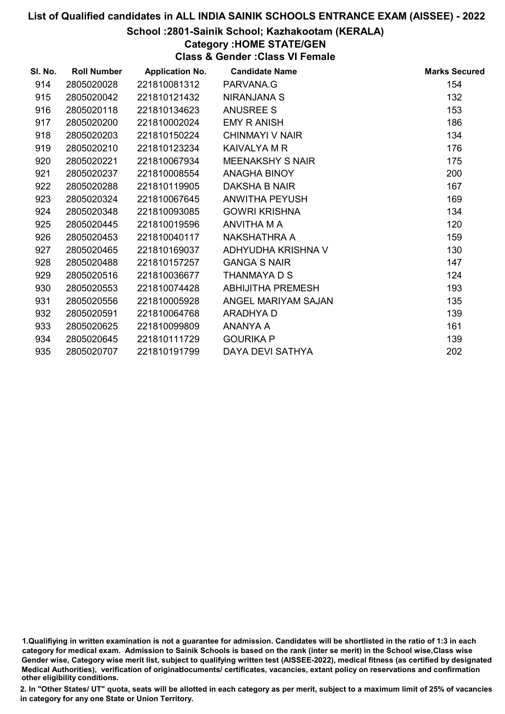#### School :2801-Sainik School; Kazhakootam (KERALA)

# Category :HOME STATE/GEN

Class & Gender :Class VI Female

| SI. No. | <b>Roll Number</b> | <b>Application No.</b> | <b>Candidate Name</b>    | <b>Marks Secured</b> |
|---------|--------------------|------------------------|--------------------------|----------------------|
| 914     | 2805020028         | 221810081312           | PARVANA.G                | 154                  |
| 915     | 2805020042         | 221810121432           | NIRANJANA S              | 132                  |
| 916     | 2805020118         | 221810134623           | <b>ANUSREE S</b>         | 153                  |
| 917     | 2805020200         | 221810002024           | <b>EMY R ANISH</b>       | 186                  |
| 918     | 2805020203         | 221810150224           | CHINMAYI V NAIR          | 134                  |
| 919     | 2805020210         | 221810123234           | KAIVALYA M R             | 176                  |
| 920     | 2805020221         | 221810067934           | <b>MEENAKSHY S NAIR</b>  | 175                  |
| 921     | 2805020237         | 221810008554           | ANAGHA BINOY             | 200                  |
| 922     | 2805020288         | 221810119905           | DAKSHA B NAIR            | 167                  |
| 923     | 2805020324         | 221810067645           | ANWITHA PEYUSH           | 169                  |
| 924     | 2805020348         | 221810093085           | <b>GOWRI KRISHNA</b>     | 134                  |
| 925     | 2805020445         | 221810019596           | ANVITHA M A              | 120                  |
| 926     | 2805020453         | 221810040117           | NAKSHATHRA A             | 159                  |
| 927     | 2805020465         | 221810169037           | ADHYUDHA KRISHNA V       | 130                  |
| 928     | 2805020488         | 221810157257           | <b>GANGA S NAIR</b>      | 147                  |
| 929     | 2805020516         | 221810036677           | THANMAYA D S             | 124                  |
| 930     | 2805020553         | 221810074428           | <b>ABHIJITHA PREMESH</b> | 193                  |
| 931     | 2805020556         | 221810005928           | ANGEL MARIYAM SAJAN      | 135                  |
| 932     | 2805020591         | 221810064768           | ARADHYA D                | 139                  |
| 933     | 2805020625         | 221810099809           | ANANYA A                 | 161                  |
| 934     | 2805020645         | 221810111729           | <b>GOURIKA P</b>         | 139                  |
| 935     | 2805020707         | 221810191799           | DAYA DEVI SATHYA         | 202                  |

<sup>1.</sup>Qualifiying in written examination is not a guarantee for admission. Candidates will be shortlisted in the ratio of 1:3 in each category for medical exam. Admission to Sainik Schools is based on the rank (inter se merit) in the School wise,Class wise Gender wise, Category wise merit list, subject to qualifying written test (AISSEE-2022), medical fitness (as certified by designated Medical Authorities), verification of originablocuments/ certificates, vacancies, extant policy on reservations and confirmation other eligibility conditions.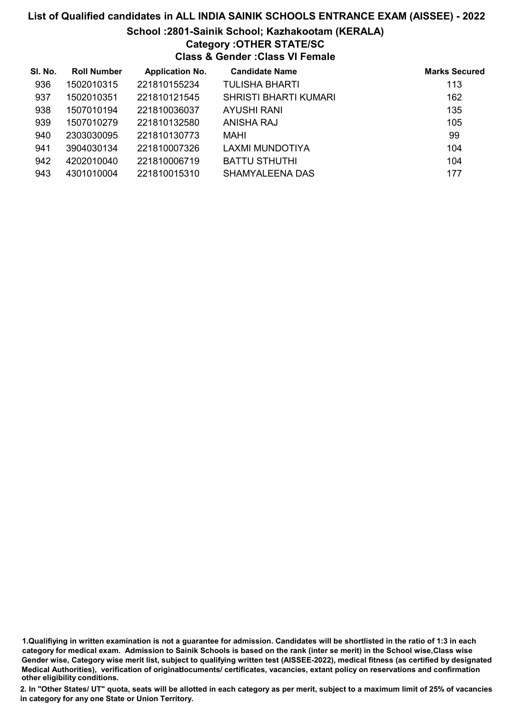### School :2801-Sainik School; Kazhakootam (KERALA)

### Category :OTHER STATE/SC

Class & Gender :Class VI Female

| SI. No. | <b>Roll Number</b> | <b>Application No.</b> | <b>Candidate Name</b>  | <b>Marks Secured</b> |
|---------|--------------------|------------------------|------------------------|----------------------|
| 936     | 1502010315         | 221810155234           | TULISHA BHARTI         | 113                  |
| 937     | 1502010351         | 221810121545           | SHRISTI BHARTI KUMARI  | 162                  |
| 938     | 1507010194         | 221810036037           | AYUSHI RANI            | 135                  |
| 939     | 1507010279         | 221810132580           | ANISHA RAJ             | 105                  |
| 940     | 2303030095         | 221810130773           | MAHI                   | 99                   |
| 941     | 3904030134         | 221810007326           | LAXMI MUNDOTIYA        | 104                  |
| 942     | 4202010040         | 221810006719           | <b>BATTU STHUTHI</b>   | 104                  |
| 943     | 4301010004         | 221810015310           | <b>SHAMYALEENA DAS</b> | 177                  |

1.Qualifiying in written examination is not a guarantee for admission. Candidates will be shortlisted in the ratio of 1:3 in each category for medical exam. Admission to Sainik Schools is based on the rank (inter se merit) in the School wise,Class wise Gender wise, Category wise merit list, subject to qualifying written test (AISSEE-2022), medical fitness (as certified by designated Medical Authorities), verification of originablocuments/ certificates, vacancies, extant policy on reservations and confirmation other eligibility conditions.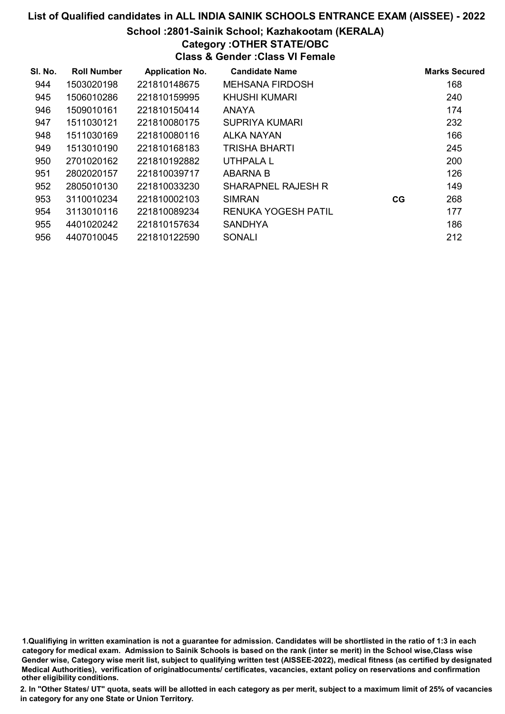### School :2801-Sainik School; Kazhakootam (KERALA)

# Category :OTHER STATE/OBC

Class & Gender :Class VI Female

| SI. No. | <b>Roll Number</b> | <b>Application No.</b> | <b>Candidate Name</b>      |    | <b>Marks Secured</b> |
|---------|--------------------|------------------------|----------------------------|----|----------------------|
| 944     | 1503020198         | 221810148675           | <b>MEHSANA FIRDOSH</b>     |    | 168                  |
| 945     | 1506010286         | 221810159995           | KHUSHI KUMARI              |    | 240                  |
| 946     | 1509010161         | 221810150414           | <b>ANAYA</b>               |    | 174                  |
| 947     | 1511030121         | 221810080175           | SUPRIYA KUMARI             |    | 232                  |
| 948     | 1511030169         | 221810080116           | ALKA NAYAN                 |    | 166                  |
| 949     | 1513010190         | 221810168183           | <b>TRISHA BHARTI</b>       |    | 245                  |
| 950     | 2701020162         | 221810192882           | UTHPALA L                  |    | 200                  |
| 951     | 2802020157         | 221810039717           | <b>ABARNA B</b>            |    | 126                  |
| 952     | 2805010130         | 221810033230           | <b>SHARAPNEL RAJESH R</b>  |    | 149                  |
| 953     | 3110010234         | 221810002103           | <b>SIMRAN</b>              | CG | 268                  |
| 954     | 3113010116         | 221810089234           | <b>RENUKA YOGESH PATIL</b> |    | 177                  |
| 955     | 4401020242         | 221810157634           | <b>SANDHYA</b>             |    | 186                  |
| 956     | 4407010045         | 221810122590           | <b>SONALI</b>              |    | 212                  |

1.Qualifiying in written examination is not a guarantee for admission. Candidates will be shortlisted in the ratio of 1:3 in each category for medical exam. Admission to Sainik Schools is based on the rank (inter se merit) in the School wise,Class wise Gender wise, Category wise merit list, subject to qualifying written test (AISSEE-2022), medical fitness (as certified by designated Medical Authorities), verification of originablocuments/ certificates, vacancies, extant policy on reservations and confirmation other eligibility conditions.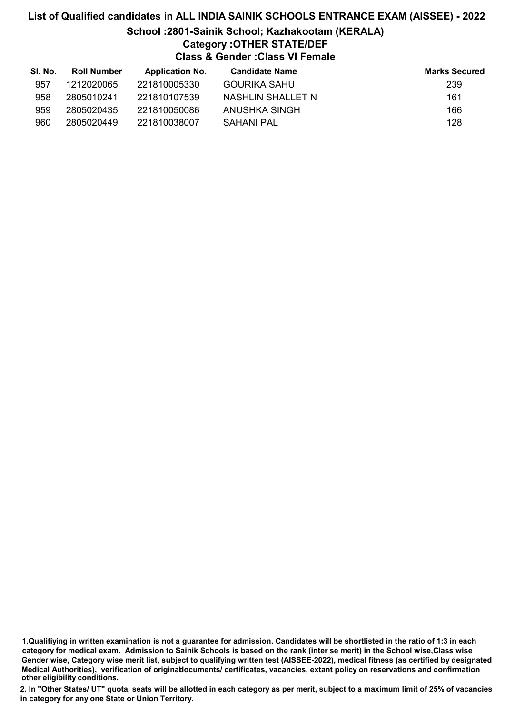# List of Qualified candidates in ALL INDIA SAINIK SCHOOLS ENTRANCE EXAM (AISSEE) - 2022 School :2801-Sainik School; Kazhakootam (KERALA)

# Category :OTHER STATE/DEF

Class & Gender :Class VI Female

| SI. No. | <b>Roll Number</b> | <b>Application No.</b> | <b>Candidate Name</b> | <b>Marks Secured</b> |
|---------|--------------------|------------------------|-----------------------|----------------------|
| 957     | 1212020065         | 221810005330           | <b>GOURIKA SAHU</b>   | 239                  |
| 958     | 2805010241         | 221810107539           | NASHLIN SHALLET N     | 161                  |
| 959     | 2805020435         | 221810050086           | ANUSHKA SINGH         | 166                  |
| 960     | 2805020449         | 221810038007           | SAHANI PAL            | 128                  |

1.Qualifiying in written examination is not a guarantee for admission. Candidates will be shortlisted in the ratio of 1:3 in each category for medical exam. Admission to Sainik Schools is based on the rank (inter se merit) in the School wise,Class wise Gender wise, Category wise merit list, subject to qualifying written test (AISSEE-2022), medical fitness (as certified by designated Medical Authorities), verification of originablocuments/ certificates, vacancies, extant policy on reservations and confirmation other eligibility conditions.